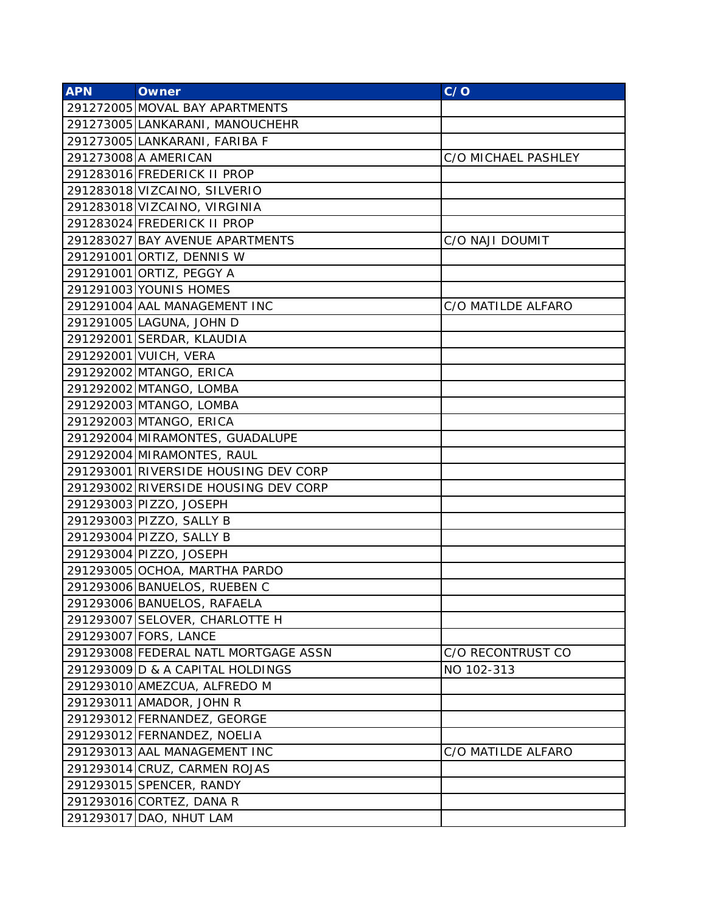| <b>APN</b> | <b>Owner</b>                         | C/O                 |
|------------|--------------------------------------|---------------------|
|            | 291272005 MOVAL BAY APARTMENTS       |                     |
|            | 291273005 LANKARANI, MANOUCHEHR      |                     |
|            | 291273005 LANKARANI, FARIBA F        |                     |
|            | 291273008 A AMERICAN                 | C/O MICHAEL PASHLEY |
|            | 291283016 FREDERICK II PROP          |                     |
|            | 291283018 VIZCAINO, SILVERIO         |                     |
|            | 291283018 VIZCAINO, VIRGINIA         |                     |
|            | 291283024 FREDERICK II PROP          |                     |
|            | 291283027 BAY AVENUE APARTMENTS      | C/O NAJI DOUMIT     |
|            | 291291001 ORTIZ, DENNIS W            |                     |
|            | 291291001 ORTIZ, PEGGY A             |                     |
|            | 291291003 YOUNIS HOMES               |                     |
|            | 291291004 AAL MANAGEMENT INC         | C/O MATILDE ALFARO  |
|            | 291291005 LAGUNA, JOHN D             |                     |
|            | 291292001 SERDAR, KLAUDIA            |                     |
|            | 291292001 VUICH, VERA                |                     |
|            | 291292002 MTANGO, ERICA              |                     |
|            | 291292002 MTANGO, LOMBA              |                     |
|            | 291292003 MTANGO, LOMBA              |                     |
|            | 291292003 MTANGO, ERICA              |                     |
|            | 291292004 MIRAMONTES, GUADALUPE      |                     |
|            | 291292004 MIRAMONTES, RAUL           |                     |
|            | 291293001 RIVERSIDE HOUSING DEV CORP |                     |
|            | 291293002 RIVERSIDE HOUSING DEV CORP |                     |
|            | 291293003 PIZZO, JOSEPH              |                     |
|            | 291293003 PIZZO, SALLY B             |                     |
|            | 291293004 PIZZO, SALLY B             |                     |
|            | 291293004 PIZZO, JOSEPH              |                     |
|            | 291293005 OCHOA, MARTHA PARDO        |                     |
|            | 291293006 BANUELOS, RUEBEN C         |                     |
|            | 291293006 BANUELOS, RAFAELA          |                     |
|            | 291293007 SELOVER, CHARLOTTE H       |                     |
|            | 291293007 FORS, LANCE                |                     |
|            | 291293008 FEDERAL NATL MORTGAGE ASSN | C/O RECONTRUST CO   |
|            | 291293009 D & A CAPITAL HOLDINGS     | NO 102-313          |
|            | 291293010 AMEZCUA, ALFREDO M         |                     |
|            | 291293011 AMADOR, JOHN R             |                     |
|            | 291293012 FERNANDEZ, GEORGE          |                     |
|            | 291293012 FERNANDEZ, NOELIA          |                     |
|            | 291293013 AAL MANAGEMENT INC         | C/O MATILDE ALFARO  |
|            | 291293014 CRUZ, CARMEN ROJAS         |                     |
|            | 291293015 SPENCER, RANDY             |                     |
|            | 291293016 CORTEZ, DANA R             |                     |
|            | 291293017 DAO, NHUT LAM              |                     |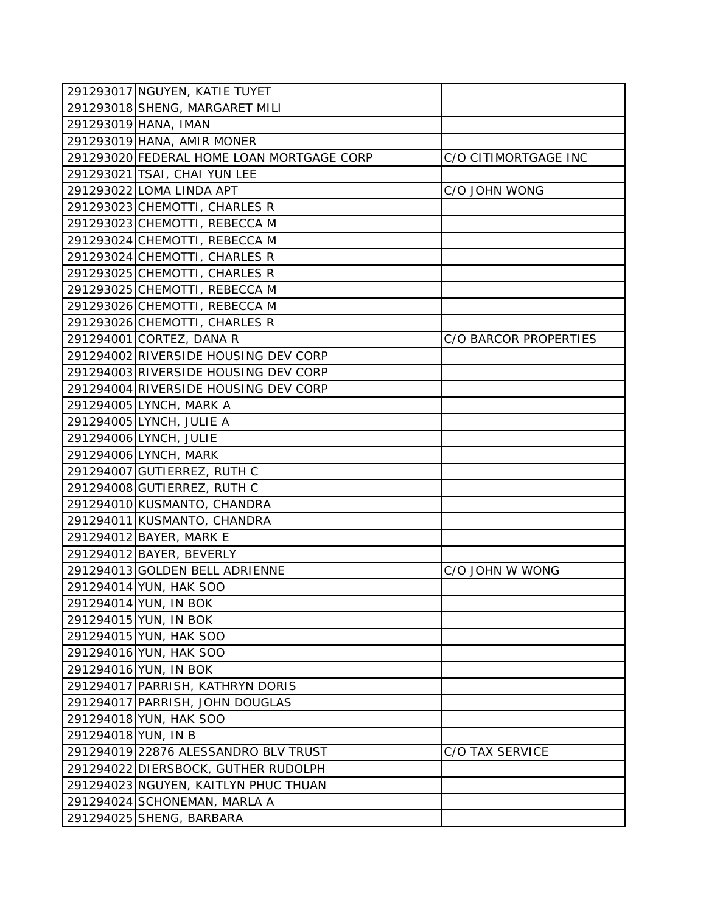|                     | 291293017 NGUYEN, KATIE TUYET             |                       |
|---------------------|-------------------------------------------|-----------------------|
|                     | 291293018 SHENG, MARGARET MILI            |                       |
|                     | 291293019 HANA, IMAN                      |                       |
|                     | 291293019 HANA, AMIR MONER                |                       |
|                     | 291293020 FEDERAL HOME LOAN MORTGAGE CORP | C/O CITIMORTGAGE INC  |
|                     | 291293021 TSAI, CHAI YUN LEE              |                       |
|                     | 291293022 LOMA LINDA APT                  | C/O JOHN WONG         |
|                     | 291293023 CHEMOTTI, CHARLES R             |                       |
|                     | 291293023 CHEMOTTI, REBECCA M             |                       |
|                     | 291293024 CHEMOTTI, REBECCA M             |                       |
|                     | 291293024 CHEMOTTI, CHARLES R             |                       |
|                     | 291293025 CHEMOTTI, CHARLES R             |                       |
|                     | 291293025 CHEMOTTI, REBECCA M             |                       |
|                     | 291293026 CHEMOTTI, REBECCA M             |                       |
|                     | 291293026 CHEMOTTI, CHARLES R             |                       |
|                     | 291294001 CORTEZ, DANA R                  | C/O BARCOR PROPERTIES |
|                     | 291294002 RIVERSIDE HOUSING DEV CORP      |                       |
|                     | 291294003 RIVERSIDE HOUSING DEV CORP      |                       |
|                     | 291294004 RIVERSIDE HOUSING DEV CORP      |                       |
|                     | 291294005 LYNCH, MARK A                   |                       |
|                     | 291294005 LYNCH, JULIE A                  |                       |
|                     | 291294006 LYNCH, JULIE                    |                       |
|                     | 291294006 LYNCH, MARK                     |                       |
|                     | 291294007 GUTIERREZ, RUTH C               |                       |
|                     | 291294008 GUTIERREZ, RUTH C               |                       |
|                     | 291294010 KUSMANTO, CHANDRA               |                       |
|                     | 291294011 KUSMANTO, CHANDRA               |                       |
|                     | 291294012 BAYER, MARK E                   |                       |
|                     | 291294012 BAYER, BEVERLY                  |                       |
|                     | 291294013 GOLDEN BELL ADRIENNE            | C/O JOHN W WONG       |
|                     | 291294014 YUN, HAK SOO                    |                       |
|                     | 291294014 YUN, IN BOK                     |                       |
|                     | 291294015 YUN, IN BOK                     |                       |
|                     | 291294015 YUN, HAK SOO                    |                       |
|                     | 291294016 YUN, HAK SOO                    |                       |
|                     | 291294016 YUN, IN BOK                     |                       |
|                     | 291294017 PARRISH, KATHRYN DORIS          |                       |
|                     | 291294017 PARRISH, JOHN DOUGLAS           |                       |
|                     | 291294018 YUN, HAK SOO                    |                       |
| 291294018 YUN, IN B |                                           |                       |
|                     | 291294019 22876 ALESSANDRO BLV TRUST      | C/O TAX SERVICE       |
|                     | 291294022 DIERSBOCK, GUTHER RUDOLPH       |                       |
|                     | 291294023 NGUYEN, KAITLYN PHUC THUAN      |                       |
|                     | 291294024 SCHONEMAN, MARLA A              |                       |
|                     | 291294025 SHENG, BARBARA                  |                       |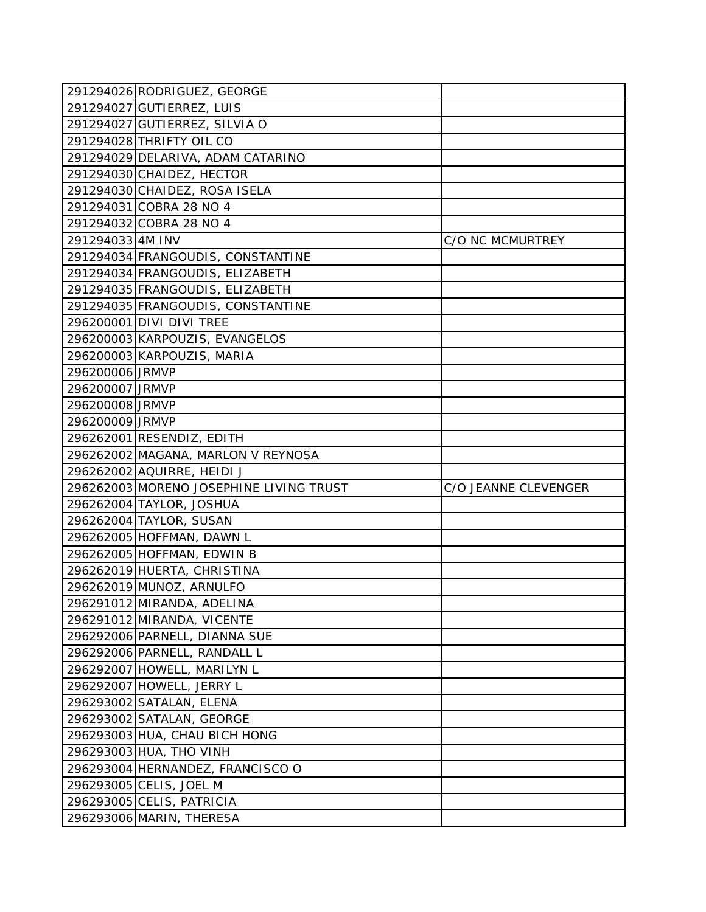|                 | 291294026 RODRIGUEZ, GEORGE             |                      |
|-----------------|-----------------------------------------|----------------------|
|                 | 291294027 GUTIERREZ, LUIS               |                      |
|                 | 291294027 GUTIERREZ, SILVIA O           |                      |
|                 | 291294028 THRIFTY OIL CO                |                      |
|                 | 291294029 DELARIVA, ADAM CATARINO       |                      |
|                 | 291294030 CHAIDEZ, HECTOR               |                      |
|                 | 291294030 CHAIDEZ, ROSA ISELA           |                      |
|                 | 291294031 COBRA 28 NO 4                 |                      |
|                 | 291294032 COBRA 28 NO 4                 |                      |
| 2912940334M INV |                                         | C/O NC MCMURTREY     |
|                 | 291294034 FRANGOUDIS, CONSTANTINE       |                      |
|                 | 291294034 FRANGOUDIS, ELIZABETH         |                      |
|                 | 291294035 FRANGOUDIS, ELIZABETH         |                      |
|                 | 291294035 FRANGOUDIS, CONSTANTINE       |                      |
|                 | 296200001 DIVI DIVI TREE                |                      |
|                 | 296200003 KARPOUZIS, EVANGELOS          |                      |
|                 | 296200003 KARPOUZIS, MARIA              |                      |
| 296200006 JRMVP |                                         |                      |
| 296200007 JRMVP |                                         |                      |
| 296200008 JRMVP |                                         |                      |
| 296200009 JRMVP |                                         |                      |
|                 | 296262001 RESENDIZ, EDITH               |                      |
|                 | 296262002 MAGANA, MARLON V REYNOSA      |                      |
|                 | 296262002 AQUIRRE, HEIDI J              |                      |
|                 | 296262003 MORENO JOSEPHINE LIVING TRUST |                      |
|                 |                                         | C/O JEANNE CLEVENGER |
|                 | 296262004 TAYLOR, JOSHUA                |                      |
|                 | 296262004 TAYLOR, SUSAN                 |                      |
|                 | 296262005 HOFFMAN, DAWN L               |                      |
|                 | 296262005 HOFFMAN, EDWIN B              |                      |
|                 | 296262019 HUERTA, CHRISTINA             |                      |
|                 | 296262019 MUNOZ, ARNULFO                |                      |
|                 | 296291012 MIRANDA, ADELINA              |                      |
|                 | 296291012 MIRANDA, VICENTE              |                      |
|                 | 296292006 PARNELL, DIANNA SUE           |                      |
|                 | 296292006 PARNELL, RANDALL L            |                      |
|                 | 296292007 HOWELL, MARILYN L             |                      |
|                 | 296292007 HOWELL, JERRY L               |                      |
|                 | 296293002 SATALAN, ELENA                |                      |
|                 | 296293002 SATALAN, GEORGE               |                      |
|                 | 296293003 HUA, CHAU BICH HONG           |                      |
|                 | 296293003 HUA, THO VINH                 |                      |
|                 | 296293004 HERNANDEZ, FRANCISCO O        |                      |
|                 | 296293005 CELIS, JOEL M                 |                      |
|                 | 296293005 CELIS, PATRICIA               |                      |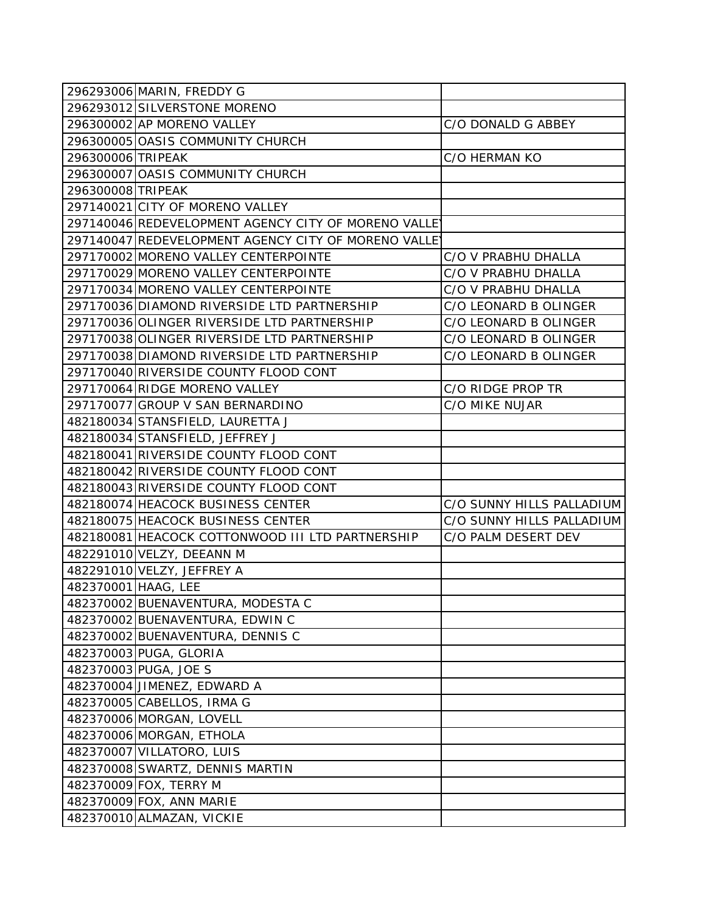| 296293006 MARIN, FREDDY G                            |                           |
|------------------------------------------------------|---------------------------|
| 296293012 SILVERSTONE MORENO                         |                           |
| 296300002 AP MORENO VALLEY                           | C/O DONALD G ABBEY        |
| 296300005 OASIS COMMUNITY CHURCH                     |                           |
| 296300006 TRIPEAK                                    | C/O HERMAN KO             |
| 296300007 OASIS COMMUNITY CHURCH                     |                           |
| 296300008 TRIPEAK                                    |                           |
| 297140021 CITY OF MORENO VALLEY                      |                           |
| 297140046 REDEVELOPMENT AGENCY CITY OF MORENO VALLEY |                           |
| 297140047 REDEVELOPMENT AGENCY CITY OF MORENO VALLEY |                           |
| 297170002 MORENO VALLEY CENTERPOINTE                 | C/O V PRABHU DHALLA       |
| 297170029 MORENO VALLEY CENTERPOINTE                 | C/O V PRABHU DHALLA       |
| 297170034 MORENO VALLEY CENTERPOINTE                 | C/O V PRABHU DHALLA       |
| 297170036 DIAMOND RIVERSIDE LTD PARTNERSHIP          | C/O LEONARD B OLINGER     |
| 297170036 OLINGER RIVERSIDE LTD PARTNERSHIP          | C/O LEONARD B OLINGER     |
| 297170038 OLINGER RIVERSIDE LTD PARTNERSHIP          | C/O LEONARD B OLINGER     |
| 297170038 DIAMOND RIVERSIDE LTD PARTNERSHIP          | C/O LEONARD B OLINGER     |
| 297170040 RIVERSIDE COUNTY FLOOD CONT                |                           |
| 297170064 RIDGE MORENO VALLEY                        | C/O RIDGE PROP TR         |
| 297170077 GROUP V SAN BERNARDINO                     | C/O MIKE NUJAR            |
| 482180034 STANSFIELD, LAURETTA J                     |                           |
| 482180034 STANSFIELD, JEFFREY J                      |                           |
| 482180041 RIVERSIDE COUNTY FLOOD CONT                |                           |
| 482180042 RIVERSIDE COUNTY FLOOD CONT                |                           |
| 482180043 RIVERSIDE COUNTY FLOOD CONT                |                           |
| 482180074 HEACOCK BUSINESS CENTER                    | C/O SUNNY HILLS PALLADIUM |
| 482180075 HEACOCK BUSINESS CENTER                    | C/O SUNNY HILLS PALLADIUM |
| 482180081 HEACOCK COTTONWOOD III LTD PARTNERSHIP     | C/O PALM DESERT DEV       |
| 482291010 VELZY, DEEANN M                            |                           |
| 482291010 VELZY, JEFFREY A                           |                           |
| 482370001 HAAG, LEE                                  |                           |
| 482370002 BUENAVENTURA, MODESTA C                    |                           |
| 482370002 BUENAVENTURA, EDWIN C                      |                           |
| 482370002 BUENAVENTURA, DENNIS C                     |                           |
| 482370003 PUGA, GLORIA                               |                           |
| 482370003 PUGA, JOE S                                |                           |
| 482370004 JIMENEZ, EDWARD A                          |                           |
| 482370005 CABELLOS, IRMA G                           |                           |
| 482370006 MORGAN, LOVELL                             |                           |
| 482370006 MORGAN, ETHOLA                             |                           |
| 482370007 VILLATORO, LUIS                            |                           |
| 482370008 SWARTZ, DENNIS MARTIN                      |                           |
| 482370009 FOX, TERRY M                               |                           |
| 482370009 FOX, ANN MARIE                             |                           |
| 482370010 ALMAZAN, VICKIE                            |                           |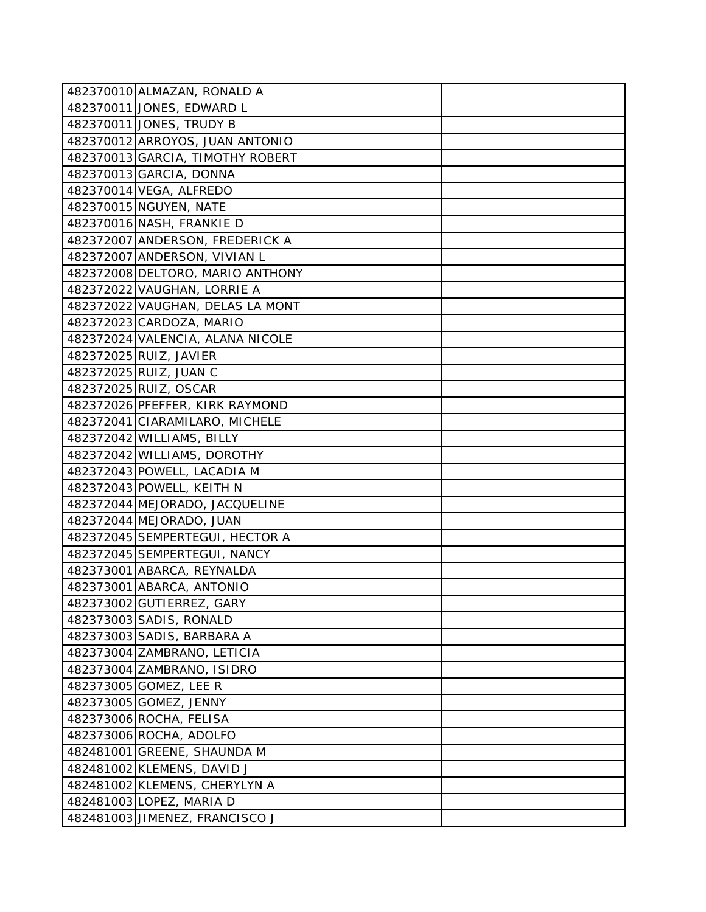| 482370010 ALMAZAN, RONALD A      |  |
|----------------------------------|--|
| 482370011 JONES, EDWARD L        |  |
| 482370011 JONES, TRUDY B         |  |
| 482370012 ARROYOS, JUAN ANTONIO  |  |
| 482370013 GARCIA, TIMOTHY ROBERT |  |
| 482370013 GARCIA, DONNA          |  |
| 482370014 VEGA, ALFREDO          |  |
| 482370015 NGUYEN, NATE           |  |
| 482370016 NASH, FRANKIE D        |  |
| 482372007 ANDERSON, FREDERICK A  |  |
| 482372007 ANDERSON, VIVIAN L     |  |
| 482372008 DELTORO, MARIO ANTHONY |  |
| 482372022 VAUGHAN, LORRIE A      |  |
| 482372022 VAUGHAN, DELAS LA MONT |  |
| 482372023 CARDOZA, MARIO         |  |
| 482372024 VALENCIA, ALANA NICOLE |  |
| 482372025 RUIZ, JAVIER           |  |
| 482372025 RUIZ, JUAN C           |  |
| 482372025 RUIZ, OSCAR            |  |
| 482372026 PFEFFER, KIRK RAYMOND  |  |
| 482372041 CIARAMILARO, MICHELE   |  |
| 482372042 WILLIAMS, BILLY        |  |
| 482372042 WILLIAMS, DOROTHY      |  |
| 482372043 POWELL, LACADIA M      |  |
| 482372043 POWELL, KEITH N        |  |
| 482372044 MEJORADO, JACQUELINE   |  |
| 482372044 MEJORADO, JUAN         |  |
| 482372045 SEMPERTEGUI, HECTOR A  |  |
| 482372045 SEMPERTEGUI, NANCY     |  |
| 482373001 ABARCA, REYNALDA       |  |
| 482373001 ABARCA, ANTONIO        |  |
| 482373002 GUTIERREZ, GARY        |  |
| 482373003 SADIS, RONALD          |  |
| 482373003 SADIS, BARBARA A       |  |
| 482373004 ZAMBRANO, LETICIA      |  |
| 482373004 ZAMBRANO, ISIDRO       |  |
| 482373005 GOMEZ, LEE R           |  |
| 482373005 GOMEZ, JENNY           |  |
| 482373006 ROCHA, FELISA          |  |
| 482373006 ROCHA, ADOLFO          |  |
| 482481001 GREENE, SHAUNDA M      |  |
| 482481002 KLEMENS, DAVID J       |  |
| 482481002 KLEMENS, CHERYLYN A    |  |
| 482481003 LOPEZ, MARIA D         |  |
| 482481003 JIMENEZ, FRANCISCO J   |  |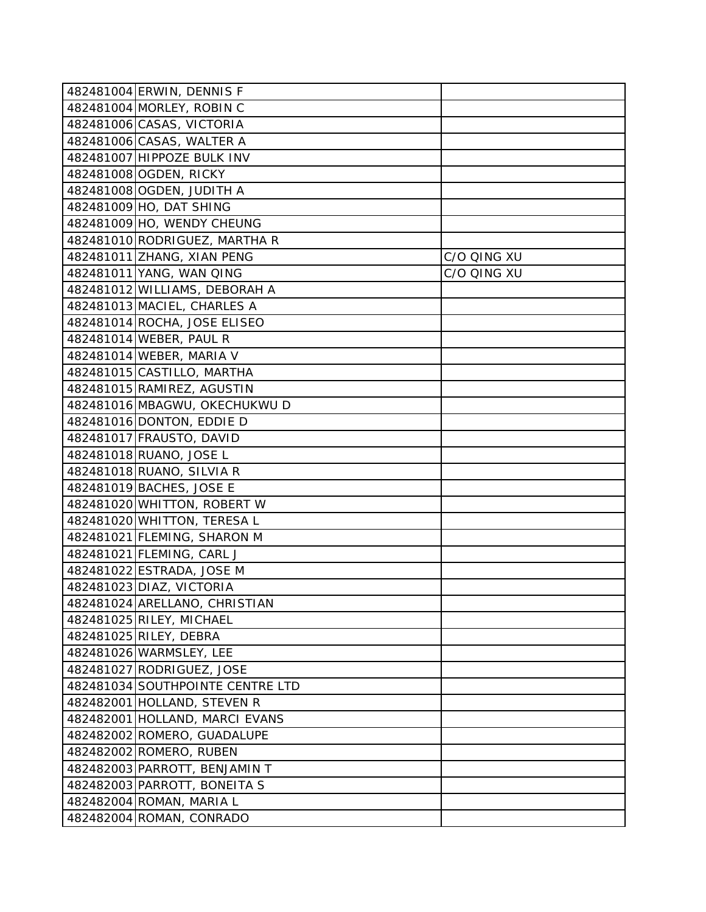| 482481004 ERWIN, DENNIS F        |             |
|----------------------------------|-------------|
| 482481004 MORLEY, ROBIN C        |             |
| 482481006 CASAS, VICTORIA        |             |
| 482481006 CASAS, WALTER A        |             |
| 482481007 HIPPOZE BULK INV       |             |
| 482481008 OGDEN, RICKY           |             |
| 482481008 OGDEN, JUDITH A        |             |
| 482481009 HO, DAT SHING          |             |
| 482481009 HO, WENDY CHEUNG       |             |
| 482481010 RODRIGUEZ, MARTHA R    |             |
| 482481011 ZHANG, XIAN PENG       | C/O QING XU |
| 482481011 YANG, WAN QING         | C/O QING XU |
| 482481012 WILLIAMS, DEBORAH A    |             |
| 482481013 MACIEL, CHARLES A      |             |
| 482481014 ROCHA, JOSE ELISEO     |             |
| 482481014 WEBER, PAUL R          |             |
| 482481014 WEBER, MARIA V         |             |
| 482481015 CASTILLO, MARTHA       |             |
| 482481015 RAMIREZ, AGUSTIN       |             |
| 482481016 MBAGWU, OKECHUKWU D    |             |
| 482481016 DONTON, EDDIE D        |             |
| 482481017 FRAUSTO, DAVID         |             |
| 482481018 RUANO, JOSE L          |             |
| 482481018 RUANO, SILVIA R        |             |
| 482481019 BACHES, JOSE E         |             |
| 482481020 WHITTON, ROBERT W      |             |
| 482481020 WHITTON, TERESA L      |             |
| 482481021 FLEMING, SHARON M      |             |
| 482481021 FLEMING, CARL J        |             |
| 482481022 ESTRADA, JOSE M        |             |
| 482481023 DIAZ, VICTORIA         |             |
| 482481024 ARELLANO, CHRISTIAN    |             |
| 482481025 RILEY, MICHAEL         |             |
| 482481025 RILEY, DEBRA           |             |
| 482481026 WARMSLEY, LEE          |             |
| 482481027 RODRIGUEZ, JOSE        |             |
| 482481034 SOUTHPOINTE CENTRE LTD |             |
| 482482001 HOLLAND, STEVEN R      |             |
| 482482001 HOLLAND, MARCI EVANS   |             |
| 482482002 ROMERO, GUADALUPE      |             |
| 482482002 ROMERO, RUBEN          |             |
| 482482003 PARROTT, BENJAMIN T    |             |
| 482482003 PARROTT, BONEITA S     |             |
| 482482004 ROMAN, MARIA L         |             |
| 482482004 ROMAN, CONRADO         |             |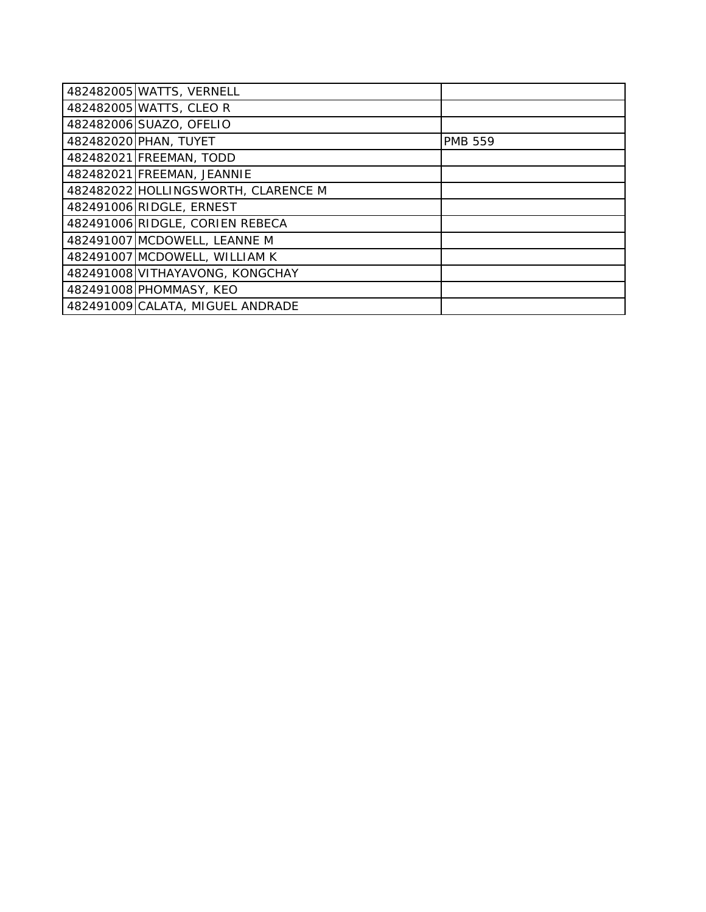| 482482005 WATTS, VERNELL            |                |
|-------------------------------------|----------------|
| 482482005 WATTS, CLEO R             |                |
| 482482006 SUAZO, OFELIO             |                |
| 482482020 PHAN, TUYET               | <b>PMB 559</b> |
| 482482021 FREEMAN, TODD             |                |
| 482482021 FREEMAN, JEANNIE          |                |
| 482482022 HOLLINGSWORTH, CLARENCE M |                |
| 482491006 RIDGLE, ERNEST            |                |
| 482491006 RIDGLE, CORIEN REBECA     |                |
| 482491007 MCDOWELL, LEANNE M        |                |
| 482491007 MCDOWELL, WILLIAM K       |                |
| 482491008 VITHAYAVONG, KONGCHAY     |                |
| 482491008 PHOMMASY, KEO             |                |
| 482491009 CALATA, MIGUEL ANDRADE    |                |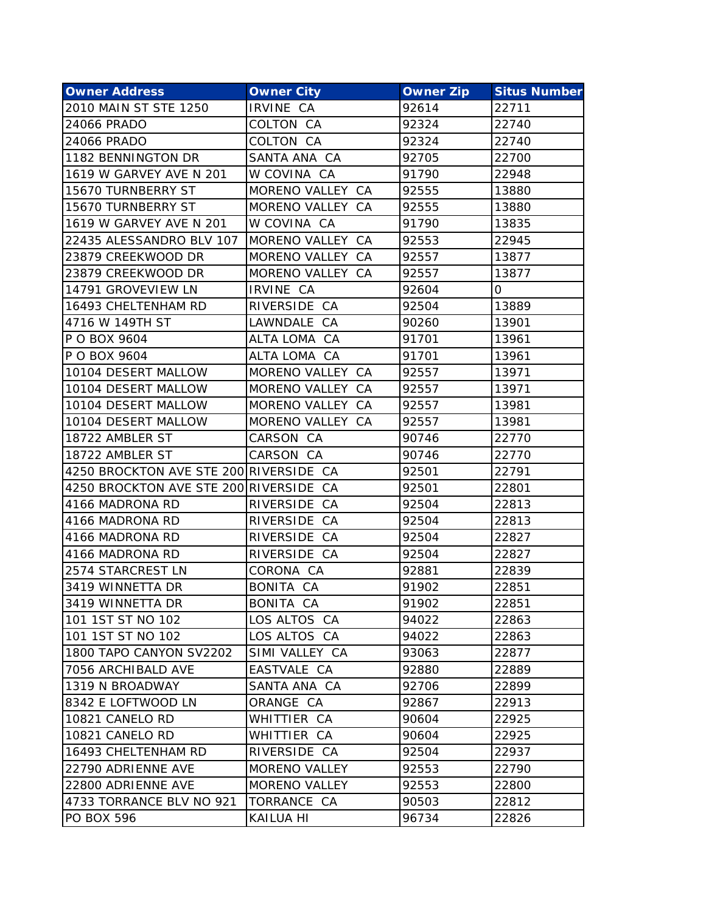| <b>Owner Address</b>                   | <b>Owner City</b>    | <b>Owner Zip</b> | <b>Situs Number</b> |
|----------------------------------------|----------------------|------------------|---------------------|
| 2010 MAIN ST STE 1250                  | IRVINE CA            | 92614            | 22711               |
| 24066 PRADO                            | COLTON CA            | 92324            | 22740               |
| 24066 PRADO                            | COLTON CA            | 92324            | 22740               |
| 1182 BENNINGTON DR                     | SANTA ANA CA         | 92705            | 22700               |
| 1619 W GARVEY AVE N 201                | W COVINA CA          | 91790            | 22948               |
| 15670 TURNBERRY ST                     | MORENO VALLEY CA     | 92555            | 13880               |
| 15670 TURNBERRY ST                     | MORENO VALLEY CA     | 92555            | 13880               |
| 1619 W GARVEY AVE N 201                | W COVINA CA          | 91790            | 13835               |
| 22435 ALESSANDRO BLV 107               | MORENO VALLEY CA     | 92553            | 22945               |
| 23879 CREEKWOOD DR                     | MORENO VALLEY CA     | 92557            | 13877               |
| 23879 CREEKWOOD DR                     | MORENO VALLEY CA     | 92557            | 13877               |
| 14791 GROVEVIEW LN                     | IRVINE CA            | 92604            | 0                   |
| 16493 CHELTENHAM RD                    | RIVERSIDE CA         | 92504            | 13889               |
| 4716 W 149TH ST                        | LAWNDALE CA          | 90260            | 13901               |
| P O BOX 9604                           | ALTA LOMA CA         | 91701            | 13961               |
| P O BOX 9604                           | ALTA LOMA CA         | 91701            | 13961               |
| 10104 DESERT MALLOW                    | MORENO VALLEY CA     | 92557            | 13971               |
| 10104 DESERT MALLOW                    | MORENO VALLEY CA     | 92557            | 13971               |
| 10104 DESERT MALLOW                    | MORENO VALLEY CA     | 92557            | 13981               |
| 10104 DESERT MALLOW                    | MORENO VALLEY CA     | 92557            | 13981               |
| 18722 AMBLER ST                        | CARSON CA            | 90746            | 22770               |
| 18722 AMBLER ST                        | CARSON CA            | 90746            | 22770               |
| 4250 BROCKTON AVE STE 200 RIVERSIDE CA |                      | 92501            | 22791               |
| 4250 BROCKTON AVE STE 200 RIVERSIDE CA |                      | 92501            | 22801               |
| 4166 MADRONA RD                        | RIVERSIDE CA         | 92504            | 22813               |
| 4166 MADRONA RD                        | RIVERSIDE CA         | 92504            | 22813               |
| 4166 MADRONA RD                        | RIVERSIDE CA         | 92504            | 22827               |
| 4166 MADRONA RD                        | RIVERSIDE CA         | 92504            | 22827               |
| 2574 STARCREST LN                      | CORONA CA            | 92881            | 22839               |
| 3419 WINNETTA DR                       | BONITA CA            | 91902            | 22851               |
| 3419 WINNETTA DR                       | <b>BONITA CA</b>     | 91902            | 22851               |
| 101 1ST ST NO 102                      | LOS ALTOS CA         | 94022            | 22863               |
| 101 1ST ST NO 102                      | LOS ALTOS CA         | 94022            | 22863               |
| 1800 TAPO CANYON SV2202                | SIMI VALLEY CA       | 93063            | 22877               |
| 7056 ARCHIBALD AVE                     | EASTVALE CA          | 92880            | 22889               |
| 1319 N BROADWAY                        | SANTA ANA CA         | 92706            | 22899               |
| 8342 E LOFTWOOD LN                     | ORANGE CA            | 92867            | 22913               |
| 10821 CANELO RD                        | WHITTIER CA          | 90604            | 22925               |
| 10821 CANELO RD                        | WHITTIER CA          | 90604            | 22925               |
| 16493 CHELTENHAM RD                    | RIVERSIDE CA         | 92504            | 22937               |
| 22790 ADRIENNE AVE                     | <b>MORENO VALLEY</b> | 92553            | 22790               |
| 22800 ADRIENNE AVE                     | MORENO VALLEY        | 92553            | 22800               |
| 4733 TORRANCE BLV NO 921               | TORRANCE CA          | 90503            | 22812               |
| <b>PO BOX 596</b>                      | KAILUA HI            | 96734            | 22826               |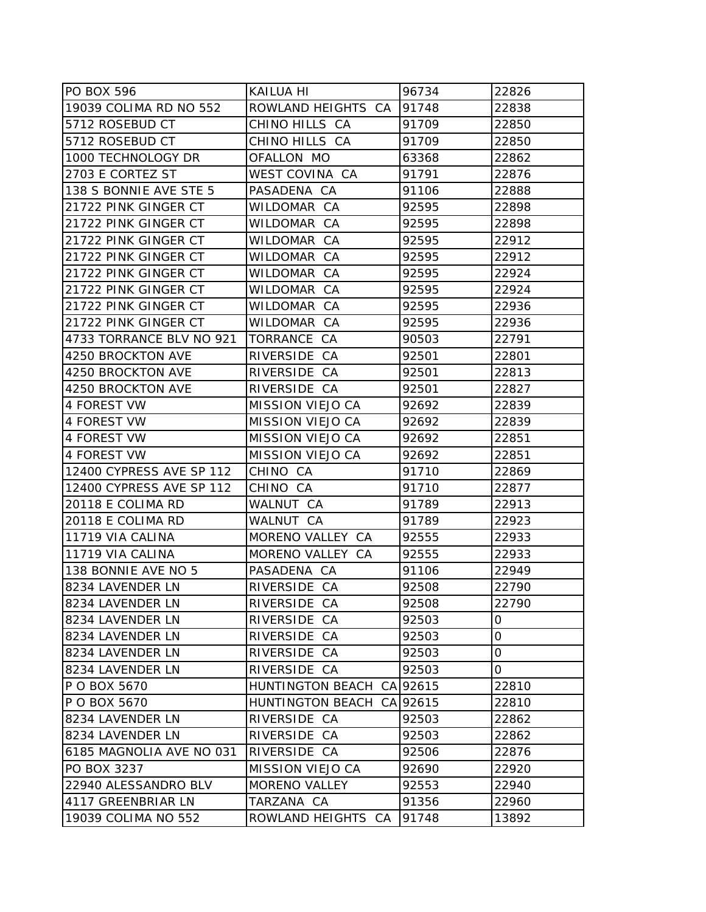| PO BOX 596               | <b>KAILUA HI</b>          | 96734 | 22826 |
|--------------------------|---------------------------|-------|-------|
| 19039 COLIMA RD NO 552   | ROWLAND HEIGHTS CA        | 91748 | 22838 |
| 5712 ROSEBUD CT          | CHINO HILLS CA            | 91709 | 22850 |
| 5712 ROSEBUD CT          | CHINO HILLS CA            | 91709 | 22850 |
| 1000 TECHNOLOGY DR       | OFALLON MO                | 63368 | 22862 |
| 2703 E CORTEZ ST         | WEST COVINA CA            | 91791 | 22876 |
| 138 S BONNIE AVE STE 5   | PASADENA CA               | 91106 | 22888 |
| 21722 PINK GINGER CT     | WILDOMAR CA               | 92595 | 22898 |
| 21722 PINK GINGER CT     | WILDOMAR CA               | 92595 | 22898 |
| 21722 PINK GINGER CT     | WILDOMAR CA               | 92595 | 22912 |
| 21722 PINK GINGER CT     | WILDOMAR CA               | 92595 | 22912 |
| 21722 PINK GINGER CT     | WILDOMAR CA               | 92595 | 22924 |
| 21722 PINK GINGER CT     | WILDOMAR CA               | 92595 | 22924 |
| 21722 PINK GINGER CT     | WILDOMAR CA               | 92595 | 22936 |
| 21722 PINK GINGER CT     | WILDOMAR CA               | 92595 | 22936 |
| 4733 TORRANCE BLV NO 921 | TORRANCE CA               | 90503 | 22791 |
| 4250 BROCKTON AVE        | RIVERSIDE CA              | 92501 | 22801 |
| 4250 BROCKTON AVE        | RIVERSIDE CA              | 92501 | 22813 |
| 4250 BROCKTON AVE        | RIVERSIDE CA              | 92501 | 22827 |
| 4 FOREST VW              | <b>MISSION VIEJO CA</b>   | 92692 | 22839 |
| 4 FOREST VW              | <b>MISSION VIEJO CA</b>   | 92692 | 22839 |
| 4 FOREST VW              | <b>MISSION VIEJO CA</b>   | 92692 | 22851 |
| 4 FOREST VW              | <b>MISSION VIEJO CA</b>   | 92692 | 22851 |
| 12400 CYPRESS AVE SP 112 | CHINO CA                  | 91710 | 22869 |
| 12400 CYPRESS AVE SP 112 | CHINO CA                  | 91710 | 22877 |
| 20118 E COLIMA RD        | WALNUT CA                 | 91789 | 22913 |
| 20118 E COLIMA RD        | WALNUT CA                 | 91789 | 22923 |
| 11719 VIA CALINA         | MORENO VALLEY CA          | 92555 | 22933 |
| 11719 VIA CALINA         | MORENO VALLEY CA          | 92555 | 22933 |
| 138 BONNIE AVE NO 5      | PASADENA CA               | 91106 | 22949 |
| 8234 LAVENDER LN         | RIVERSIDE CA              | 92508 | 22790 |
| 8234 LAVENDER LN         | RIVERSIDE CA              | 92508 | 22790 |
| 8234 LAVENDER LN         | RIVERSIDE CA              | 92503 | 0     |
| 8234 LAVENDER LN         | RIVERSIDE CA              | 92503 | 0     |
| 8234 LAVENDER LN         | RIVERSIDE CA              | 92503 | 0     |
| 8234 LAVENDER LN         | RIVERSIDE CA              | 92503 | 0     |
| P O BOX 5670             | HUNTINGTON BEACH CA 92615 |       | 22810 |
| P O BOX 5670             | HUNTINGTON BEACH CA 92615 |       | 22810 |
| 8234 LAVENDER LN         | RIVERSIDE CA              | 92503 | 22862 |
| 8234 LAVENDER LN         | RIVERSIDE CA              | 92503 | 22862 |
| 6185 MAGNOLIA AVE NO 031 | RIVERSIDE CA              | 92506 | 22876 |
| PO BOX 3237              | <b>MISSION VIEJO CA</b>   | 92690 | 22920 |
| 22940 ALESSANDRO BLV     | MORENO VALLEY             | 92553 | 22940 |
| 4117 GREENBRIAR LN       | TARZANA CA                | 91356 | 22960 |
| 19039 COLIMA NO 552      | ROWLAND HEIGHTS CA        | 91748 | 13892 |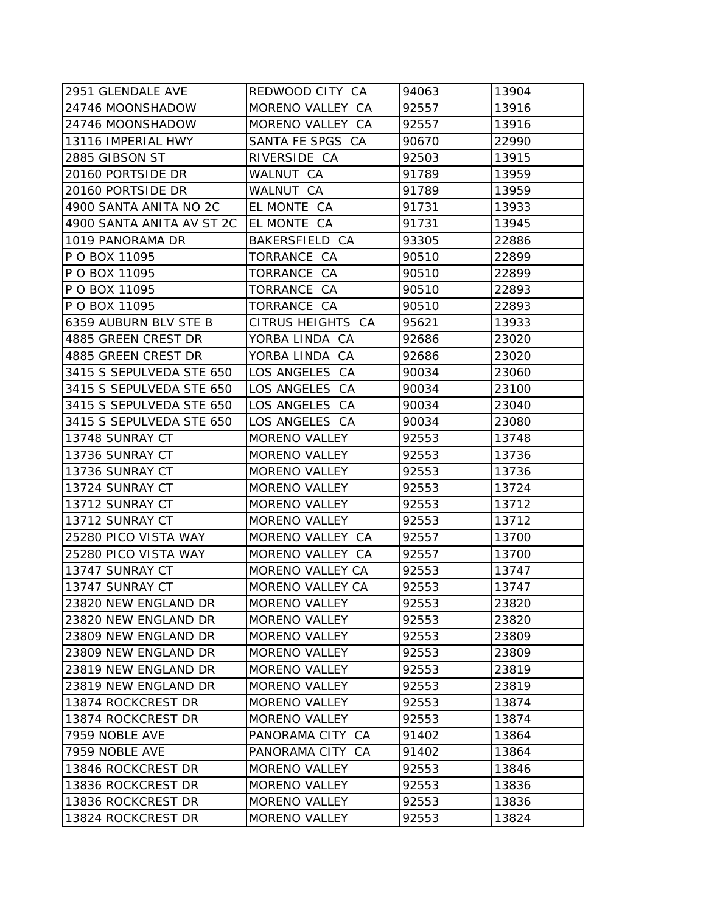| 2951 GLENDALE AVE         | REDWOOD CITY CA         | 94063 | 13904 |
|---------------------------|-------------------------|-------|-------|
| 24746 MOONSHADOW          | MORENO VALLEY CA        | 92557 | 13916 |
| 24746 MOONSHADOW          | MORENO VALLEY CA        | 92557 | 13916 |
| 13116 IMPERIAL HWY        | SANTA FE SPGS CA        | 90670 | 22990 |
| 2885 GIBSON ST            | RIVERSIDE CA            | 92503 | 13915 |
| 20160 PORTSIDE DR         | WALNUT CA               | 91789 | 13959 |
| 20160 PORTSIDE DR         | WALNUT CA               | 91789 | 13959 |
| 4900 SANTA ANITA NO 2C    | EL MONTE CA             | 91731 | 13933 |
| 4900 SANTA ANITA AV ST 2C | EL MONTE CA             | 91731 | 13945 |
| 1019 PANORAMA DR          | BAKERSFIELD CA          | 93305 | 22886 |
| P O BOX 11095             | TORRANCE CA             | 90510 | 22899 |
| P O BOX 11095             | TORRANCE CA             | 90510 | 22899 |
| P O BOX 11095             | TORRANCE CA             | 90510 | 22893 |
| P O BOX 11095             | TORRANCE CA             | 90510 | 22893 |
| 6359 AUBURN BLV STE B     | CITRUS HEIGHTS CA       | 95621 | 13933 |
| 4885 GREEN CREST DR       | YORBA LINDA CA          | 92686 | 23020 |
| 4885 GREEN CREST DR       | YORBA LINDA CA          | 92686 | 23020 |
| 3415 S SEPULVEDA STE 650  | LOS ANGELES CA          | 90034 | 23060 |
| 3415 S SEPULVEDA STE 650  | LOS ANGELES CA          | 90034 | 23100 |
| 3415 S SEPULVEDA STE 650  | LOS ANGELES CA          | 90034 | 23040 |
| 3415 S SEPULVEDA STE 650  | LOS ANGELES CA          | 90034 | 23080 |
| 13748 SUNRAY CT           | <b>MORENO VALLEY</b>    | 92553 | 13748 |
| 13736 SUNRAY CT           | <b>MORENO VALLEY</b>    | 92553 | 13736 |
| 13736 SUNRAY CT           | <b>MORENO VALLEY</b>    | 92553 | 13736 |
| 13724 SUNRAY CT           | <b>MORENO VALLEY</b>    | 92553 | 13724 |
| 13712 SUNRAY CT           | <b>MORENO VALLEY</b>    | 92553 | 13712 |
| 13712 SUNRAY CT           | <b>MORENO VALLEY</b>    | 92553 | 13712 |
| 25280 PICO VISTA WAY      | MORENO VALLEY CA        | 92557 | 13700 |
| 25280 PICO VISTA WAY      | MORENO VALLEY CA        | 92557 | 13700 |
| 13747 SUNRAY CT           | MORENO VALLEY CA        | 92553 | 13747 |
| 13747 SUNRAY CT           | <b>MORENO VALLEY CA</b> | 92553 | 13747 |
| 23820 NEW ENGLAND DR      | <b>MORENO VALLEY</b>    | 92553 | 23820 |
| 23820 NEW ENGLAND DR      | <b>MORENO VALLEY</b>    | 92553 | 23820 |
| 23809 NEW ENGLAND DR      | <b>MORENO VALLEY</b>    | 92553 | 23809 |
| 23809 NEW ENGLAND DR      | <b>MORENO VALLEY</b>    | 92553 | 23809 |
| 23819 NEW ENGLAND DR      | <b>MORENO VALLEY</b>    | 92553 | 23819 |
| 23819 NEW ENGLAND DR      | <b>MORENO VALLEY</b>    | 92553 | 23819 |
| 13874 ROCKCREST DR        | <b>MORENO VALLEY</b>    | 92553 | 13874 |
| 13874 ROCKCREST DR        | <b>MORENO VALLEY</b>    | 92553 | 13874 |
| 7959 NOBLE AVE            | PANORAMA CITY CA        | 91402 | 13864 |
| 7959 NOBLE AVE            | PANORAMA CITY CA        | 91402 | 13864 |
| 13846 ROCKCREST DR        | <b>MORENO VALLEY</b>    | 92553 | 13846 |
| 13836 ROCKCREST DR        | <b>MORENO VALLEY</b>    | 92553 | 13836 |
| 13836 ROCKCREST DR        | <b>MORENO VALLEY</b>    | 92553 | 13836 |
| 13824 ROCKCREST DR        | <b>MORENO VALLEY</b>    | 92553 | 13824 |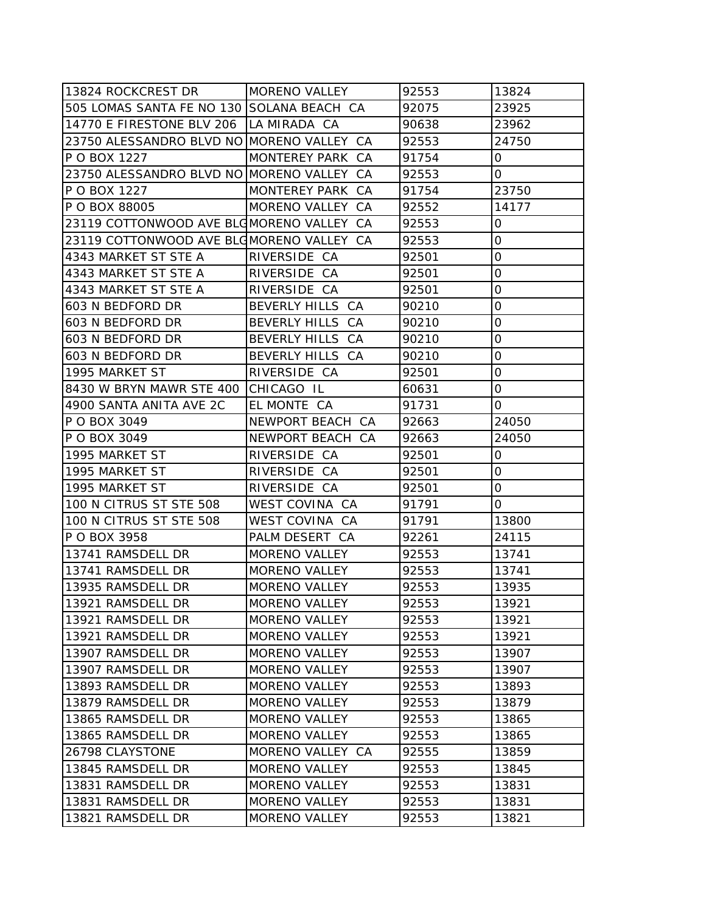| 13824 ROCKCREST DR                        | <b>MORENO VALLEY</b> | 92553 | 13824       |
|-------------------------------------------|----------------------|-------|-------------|
| 505 LOMAS SANTA FE NO 130 SOLANA BEACH CA |                      | 92075 | 23925       |
| 14770 E FIRESTONE BLV 206   LA MIRADA CA  |                      | 90638 | 23962       |
| 23750 ALESSANDRO BLVD NO MORENO VALLEY CA |                      | 92553 | 24750       |
| P O BOX 1227                              | MONTEREY PARK CA     | 91754 | 0           |
| 23750 ALESSANDRO BLVD NO MORENO VALLEY CA |                      | 92553 | 0           |
| P O BOX 1227                              | MONTEREY PARK CA     | 91754 | 23750       |
| P O BOX 88005                             | MORENO VALLEY CA     | 92552 | 14177       |
| 23119 COTTONWOOD AVE BLOMORENO VALLEY CA  |                      | 92553 | 0           |
| 23119 COTTONWOOD AVE BLOMORENO VALLEY CA  |                      | 92553 | 0           |
| 4343 MARKET ST STE A                      | RIVERSIDE CA         | 92501 | $\mathbf 0$ |
| 4343 MARKET ST STE A                      | RIVERSIDE CA         | 92501 | 0           |
| 4343 MARKET ST STE A                      | RIVERSIDE CA         | 92501 | 0           |
| 603 N BEDFORD DR                          | BEVERLY HILLS CA     | 90210 | 0           |
| 603 N BEDFORD DR                          | BEVERLY HILLS CA     | 90210 | 0           |
| 603 N BEDFORD DR                          | BEVERLY HILLS CA     | 90210 | $\mathbf 0$ |
| 603 N BEDFORD DR                          | BEVERLY HILLS CA     | 90210 | 0           |
| 1995 MARKET ST                            | RIVERSIDE CA         | 92501 | 0           |
| 8430 W BRYN MAWR STE 400 CHICAGO IL       |                      | 60631 | 0           |
| 4900 SANTA ANITA AVE 2C                   | EL MONTE CA          | 91731 | 0           |
| P O BOX 3049                              | NEWPORT BEACH CA     | 92663 | 24050       |
| P O BOX 3049                              | NEWPORT BEACH CA     | 92663 | 24050       |
| 1995 MARKET ST                            | RIVERSIDE CA         | 92501 | 0           |
| 1995 MARKET ST                            | RIVERSIDE CA         | 92501 | 0           |
| 1995 MARKET ST                            | RIVERSIDE CA         | 92501 | 0           |
| 100 N CITRUS ST STE 508                   | WEST COVINA CA       | 91791 | 0           |
| 100 N CITRUS ST STE 508                   | WEST COVINA CA       | 91791 | 13800       |
| P O BOX 3958                              | PALM DESERT CA       | 92261 | 24115       |
| 13741 RAMSDELL DR                         | <b>MORENO VALLEY</b> | 92553 | 13741       |
| 13741 RAMSDELL DR                         | <b>MORENO VALLEY</b> | 92553 | 13741       |
| 13935 RAMSDELL DR                         | <b>MORENO VALLEY</b> | 92553 | 13935       |
| 13921 RAMSDELL DR                         | <b>MORENO VALLEY</b> | 92553 | 13921       |
| 13921 RAMSDELL DR                         | <b>MORENO VALLEY</b> | 92553 | 13921       |
| 13921 RAMSDELL DR                         | <b>MORENO VALLEY</b> | 92553 | 13921       |
| 13907 RAMSDELL DR                         | <b>MORENO VALLEY</b> | 92553 | 13907       |
| 13907 RAMSDELL DR                         | <b>MORENO VALLEY</b> | 92553 | 13907       |
| 13893 RAMSDELL DR                         | <b>MORENO VALLEY</b> | 92553 | 13893       |
| 13879 RAMSDELL DR                         | <b>MORENO VALLEY</b> | 92553 | 13879       |
| 13865 RAMSDELL DR                         | <b>MORENO VALLEY</b> | 92553 | 13865       |
| 13865 RAMSDELL DR                         | <b>MORENO VALLEY</b> | 92553 | 13865       |
| 26798 CLAYSTONE                           | MORENO VALLEY CA     | 92555 | 13859       |
| 13845 RAMSDELL DR                         | <b>MORENO VALLEY</b> | 92553 | 13845       |
| 13831 RAMSDELL DR                         | <b>MORENO VALLEY</b> | 92553 | 13831       |
| 13831 RAMSDELL DR                         | <b>MORENO VALLEY</b> | 92553 | 13831       |
| 13821 RAMSDELL DR                         | <b>MORENO VALLEY</b> | 92553 | 13821       |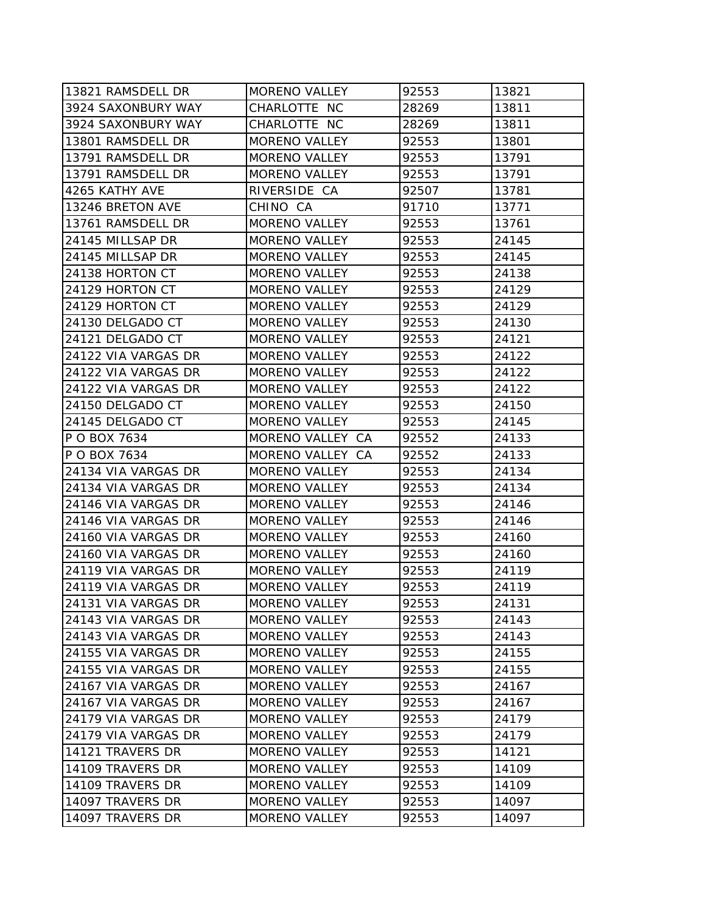| 13821 RAMSDELL DR   | <b>MORENO VALLEY</b> | 92553 | 13821 |
|---------------------|----------------------|-------|-------|
| 3924 SAXONBURY WAY  | CHARLOTTE NC         | 28269 | 13811 |
| 3924 SAXONBURY WAY  | CHARLOTTE NC         | 28269 | 13811 |
| 13801 RAMSDELL DR   | <b>MORENO VALLEY</b> | 92553 | 13801 |
| 13791 RAMSDELL DR   | <b>MORENO VALLEY</b> | 92553 | 13791 |
| 13791 RAMSDELL DR   | <b>MORENO VALLEY</b> | 92553 | 13791 |
| 4265 KATHY AVE      | RIVERSIDE CA         | 92507 | 13781 |
| 13246 BRETON AVE    | CHINO CA             | 91710 | 13771 |
| 13761 RAMSDELL DR   | <b>MORENO VALLEY</b> | 92553 | 13761 |
| 24145 MILLSAP DR    | <b>MORENO VALLEY</b> | 92553 | 24145 |
| 24145 MILLSAP DR    | <b>MORENO VALLEY</b> | 92553 | 24145 |
| 24138 HORTON CT     | <b>MORENO VALLEY</b> | 92553 | 24138 |
| 24129 HORTON CT     | <b>MORENO VALLEY</b> | 92553 | 24129 |
| 24129 HORTON CT     | <b>MORENO VALLEY</b> | 92553 | 24129 |
| 24130 DELGADO CT    | <b>MORENO VALLEY</b> | 92553 | 24130 |
| 24121 DELGADO CT    | <b>MORENO VALLEY</b> | 92553 | 24121 |
| 24122 VIA VARGAS DR | <b>MORENO VALLEY</b> | 92553 | 24122 |
| 24122 VIA VARGAS DR | <b>MORENO VALLEY</b> | 92553 | 24122 |
| 24122 VIA VARGAS DR | <b>MORENO VALLEY</b> | 92553 | 24122 |
| 24150 DELGADO CT    | MORENO VALLEY        | 92553 | 24150 |
| 24145 DELGADO CT    | <b>MORENO VALLEY</b> | 92553 | 24145 |
| P O BOX 7634        | MORENO VALLEY CA     | 92552 | 24133 |
| P O BOX 7634        | MORENO VALLEY CA     | 92552 | 24133 |
| 24134 VIA VARGAS DR | <b>MORENO VALLEY</b> | 92553 | 24134 |
| 24134 VIA VARGAS DR | <b>MORENO VALLEY</b> | 92553 | 24134 |
| 24146 VIA VARGAS DR | <b>MORENO VALLEY</b> | 92553 | 24146 |
| 24146 VIA VARGAS DR | <b>MORENO VALLEY</b> | 92553 | 24146 |
| 24160 VIA VARGAS DR | <b>MORENO VALLEY</b> | 92553 | 24160 |
| 24160 VIA VARGAS DR | <b>MORENO VALLEY</b> | 92553 | 24160 |
| 24119 VIA VARGAS DR | <b>MORENO VALLEY</b> | 92553 | 24119 |
| 24119 VIA VARGAS DR | <b>MORENO VALLEY</b> | 92553 | 24119 |
| 24131 VIA VARGAS DR | <b>MORENO VALLEY</b> | 92553 | 24131 |
| 24143 VIA VARGAS DR | <b>MORENO VALLEY</b> | 92553 | 24143 |
| 24143 VIA VARGAS DR | <b>MORENO VALLEY</b> | 92553 | 24143 |
| 24155 VIA VARGAS DR | <b>MORENO VALLEY</b> | 92553 | 24155 |
| 24155 VIA VARGAS DR | <b>MORENO VALLEY</b> | 92553 | 24155 |
| 24167 VIA VARGAS DR | <b>MORENO VALLEY</b> | 92553 | 24167 |
| 24167 VIA VARGAS DR | <b>MORENO VALLEY</b> | 92553 | 24167 |
| 24179 VIA VARGAS DR | <b>MORENO VALLEY</b> | 92553 | 24179 |
| 24179 VIA VARGAS DR | <b>MORENO VALLEY</b> | 92553 | 24179 |
| 14121 TRAVERS DR    | <b>MORENO VALLEY</b> | 92553 | 14121 |
| 14109 TRAVERS DR    | <b>MORENO VALLEY</b> | 92553 | 14109 |
| 14109 TRAVERS DR    | <b>MORENO VALLEY</b> | 92553 | 14109 |
| 14097 TRAVERS DR    | <b>MORENO VALLEY</b> | 92553 | 14097 |
| 14097 TRAVERS DR    | <b>MORENO VALLEY</b> | 92553 | 14097 |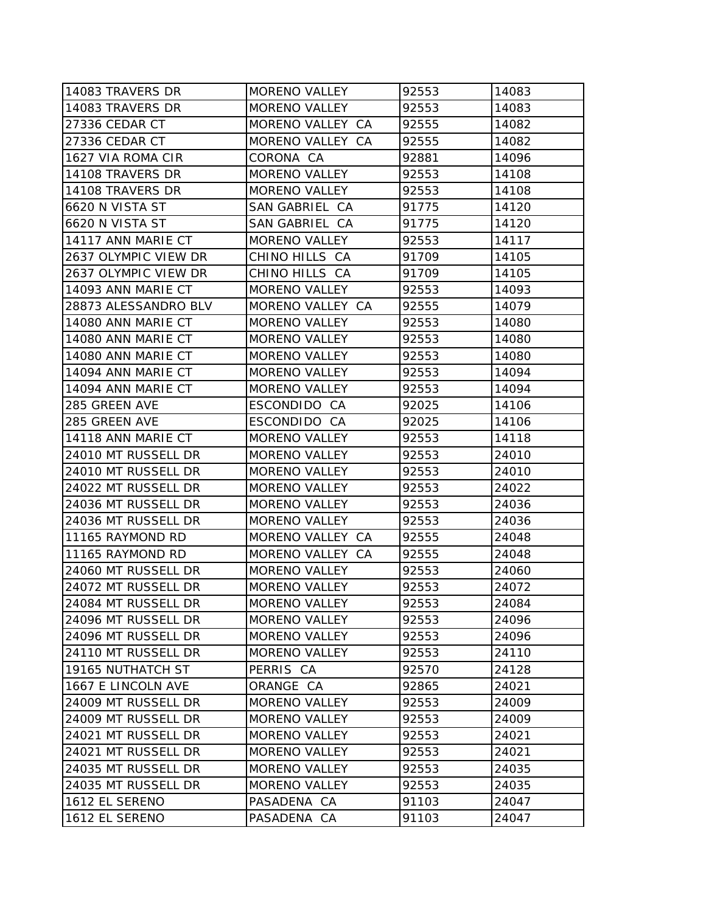| 14083 TRAVERS DR     | <b>MORENO VALLEY</b> | 92553 | 14083 |
|----------------------|----------------------|-------|-------|
| 14083 TRAVERS DR     | <b>MORENO VALLEY</b> | 92553 | 14083 |
| 27336 CEDAR CT       | MORENO VALLEY CA     | 92555 | 14082 |
| 27336 CEDAR CT       | MORENO VALLEY CA     | 92555 | 14082 |
| 1627 VIA ROMA CIR    | CORONA CA            | 92881 | 14096 |
| 14108 TRAVERS DR     | <b>MORENO VALLEY</b> | 92553 | 14108 |
| 14108 TRAVERS DR     | <b>MORENO VALLEY</b> | 92553 | 14108 |
| 6620 N VISTA ST      | SAN GABRIEL CA       | 91775 | 14120 |
| 6620 N VISTA ST      | SAN GABRIEL CA       | 91775 | 14120 |
| 14117 ANN MARIE CT   | <b>MORENO VALLEY</b> | 92553 | 14117 |
| 2637 OLYMPIC VIEW DR | CHINO HILLS CA       | 91709 | 14105 |
| 2637 OLYMPIC VIEW DR | CHINO HILLS CA       | 91709 | 14105 |
| 14093 ANN MARIE CT   | <b>MORENO VALLEY</b> | 92553 | 14093 |
| 28873 ALESSANDRO BLV | MORENO VALLEY CA     | 92555 | 14079 |
| 14080 ANN MARIE CT   | <b>MORENO VALLEY</b> | 92553 | 14080 |
| 14080 ANN MARIE CT   | <b>MORENO VALLEY</b> | 92553 | 14080 |
| 14080 ANN MARIE CT   | <b>MORENO VALLEY</b> | 92553 | 14080 |
| 14094 ANN MARIE CT   | <b>MORENO VALLEY</b> | 92553 | 14094 |
| 14094 ANN MARIE CT   | <b>MORENO VALLEY</b> | 92553 | 14094 |
| 285 GREEN AVE        | ESCONDIDO CA         | 92025 | 14106 |
| 285 GREEN AVE        | ESCONDIDO CA         | 92025 | 14106 |
| 14118 ANN MARIE CT   | <b>MORENO VALLEY</b> | 92553 | 14118 |
| 24010 MT RUSSELL DR  | <b>MORENO VALLEY</b> | 92553 | 24010 |
| 24010 MT RUSSELL DR  | <b>MORENO VALLEY</b> | 92553 | 24010 |
| 24022 MT RUSSELL DR  | MORENO VALLEY        | 92553 | 24022 |
| 24036 MT RUSSELL DR  | <b>MORENO VALLEY</b> | 92553 | 24036 |
| 24036 MT RUSSELL DR  | <b>MORENO VALLEY</b> | 92553 | 24036 |
| 11165 RAYMOND RD     | MORENO VALLEY CA     | 92555 | 24048 |
| 11165 RAYMOND RD     | MORENO VALLEY CA     | 92555 | 24048 |
| 24060 MT RUSSELL DR  | <b>MORENO VALLEY</b> | 92553 | 24060 |
| 24072 MT RUSSELL DR  | <b>MORENO VALLEY</b> | 92553 | 24072 |
| 24084 MT RUSSELL DR  | <b>MORENO VALLEY</b> | 92553 | 24084 |
| 24096 MT RUSSELL DR  | <b>MORENO VALLEY</b> | 92553 | 24096 |
| 24096 MT RUSSELL DR  | MORENO VALLEY        | 92553 | 24096 |
| 24110 MT RUSSELL DR  | <b>MORENO VALLEY</b> | 92553 | 24110 |
| 19165 NUTHATCH ST    | PERRIS CA            | 92570 | 24128 |
| 1667 E LINCOLN AVE   | ORANGE CA            | 92865 | 24021 |
| 24009 MT RUSSELL DR  | <b>MORENO VALLEY</b> | 92553 | 24009 |
| 24009 MT RUSSELL DR  | <b>MORENO VALLEY</b> | 92553 | 24009 |
| 24021 MT RUSSELL DR  | <b>MORENO VALLEY</b> | 92553 | 24021 |
| 24021 MT RUSSELL DR  | <b>MORENO VALLEY</b> | 92553 | 24021 |
| 24035 MT RUSSELL DR  | <b>MORENO VALLEY</b> | 92553 | 24035 |
| 24035 MT RUSSELL DR  | <b>MORENO VALLEY</b> | 92553 | 24035 |
| 1612 EL SERENO       | PASADENA CA          | 91103 | 24047 |
| 1612 EL SERENO       | PASADENA CA          | 91103 | 24047 |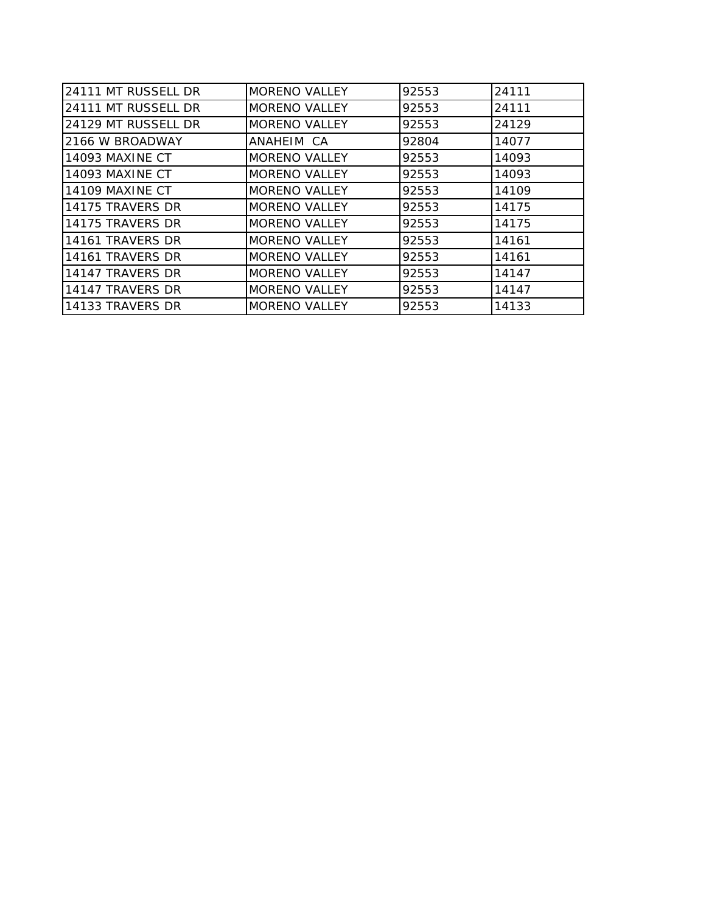| 24111 MT RUSSELL DR | <b>MORENO VALLEY</b> | 92553 | 24111 |
|---------------------|----------------------|-------|-------|
| 24111 MT RUSSELL DR | <b>MORENO VALLEY</b> | 92553 | 24111 |
| 24129 MT RUSSELL DR | <b>MORENO VALLEY</b> | 92553 | 24129 |
| 2166 W BROADWAY     | ANAHEIM CA           | 92804 | 14077 |
| 14093 MAXINE CT     | <b>MORENO VALLEY</b> | 92553 | 14093 |
| 14093 MAXINE CT     | <b>MORENO VALLEY</b> | 92553 | 14093 |
| 14109 MAXINE CT     | <b>MORENO VALLEY</b> | 92553 | 14109 |
| 14175 TRAVERS DR    | <b>MORENO VALLEY</b> | 92553 | 14175 |
| 14175 TRAVERS DR    | <b>MORENO VALLEY</b> | 92553 | 14175 |
| 14161 TRAVERS DR    | <b>MORENO VALLEY</b> | 92553 | 14161 |
| 14161 TRAVERS DR    | <b>MORENO VALLEY</b> | 92553 | 14161 |
| 14147 TRAVERS DR    | <b>MORENO VALLEY</b> | 92553 | 14147 |
| 14147 TRAVERS DR    | <b>MORENO VALLEY</b> | 92553 | 14147 |
| 14133 TRAVERS DR    | <b>MORENO VALLEY</b> | 92553 | 14133 |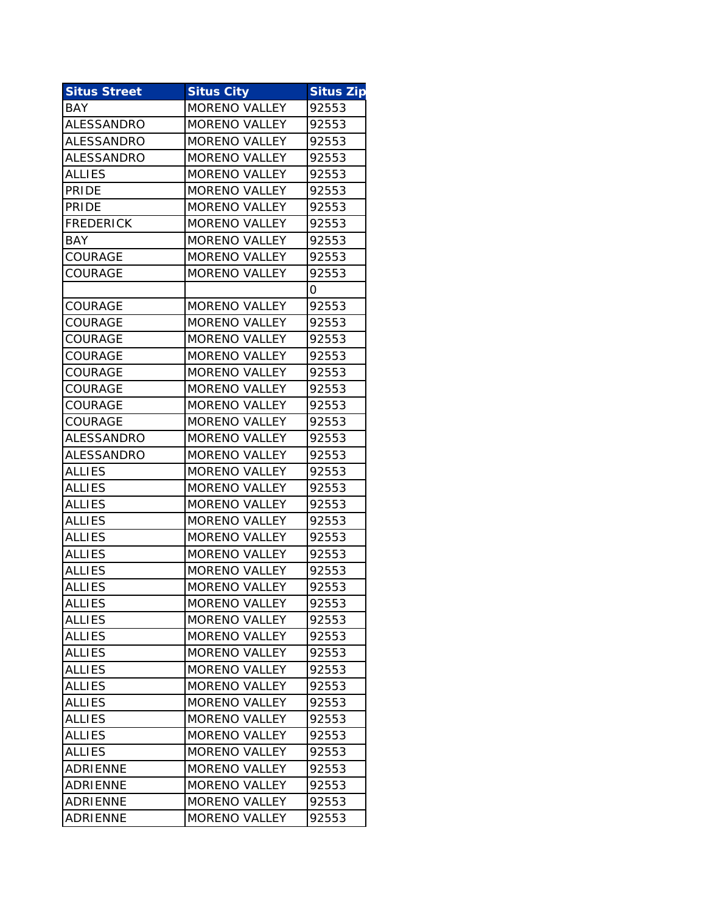| <b>Situs Street</b> | <b>Situs City</b>    | <b>Situs Zip</b> |
|---------------------|----------------------|------------------|
| <b>BAY</b>          | <b>MORENO VALLEY</b> | 92553            |
| <b>ALESSANDRO</b>   | <b>MORENO VALLEY</b> | 92553            |
| ALESSANDRO          | <b>MORENO VALLEY</b> | 92553            |
| ALESSANDRO          | <b>MORENO VALLEY</b> | 92553            |
| <b>ALLIES</b>       | <b>MORENO VALLEY</b> | 92553            |
| <b>PRIDE</b>        | <b>MORENO VALLEY</b> | 92553            |
| <b>PRIDE</b>        | <b>MORENO VALLEY</b> | 92553            |
| <b>FREDERICK</b>    | <b>MORENO VALLEY</b> | 92553            |
| <b>BAY</b>          | <b>MORENO VALLEY</b> | 92553            |
| COURAGE             | <b>MORENO VALLEY</b> | 92553            |
| COURAGE             | <b>MORENO VALLEY</b> | 92553            |
|                     |                      | 0                |
| COURAGE             | <b>MORENO VALLEY</b> | 92553            |
| COURAGE             | <b>MORENO VALLEY</b> | 92553            |
| <b>COURAGE</b>      | <b>MORENO VALLEY</b> | 92553            |
| COURAGE             | <b>MORENO VALLEY</b> | 92553            |
| COURAGE             | <b>MORENO VALLEY</b> | 92553            |
| COURAGE             | <b>MORENO VALLEY</b> | 92553            |
| <b>COURAGE</b>      | <b>MORENO VALLEY</b> | 92553            |
| COURAGE             | <b>MORENO VALLEY</b> | 92553            |
| ALESSANDRO          | <b>MORENO VALLEY</b> | 92553            |
| ALESSANDRO          | <b>MORENO VALLEY</b> | 92553            |
| <b>ALLIES</b>       | <b>MORENO VALLEY</b> | 92553            |
| <b>ALLIES</b>       | <b>MORENO VALLEY</b> | 92553            |
| <b>ALLIES</b>       | <b>MORENO VALLEY</b> | 92553            |
| <b>ALLIES</b>       | <b>MORENO VALLEY</b> | 92553            |
| <b>ALLIES</b>       | <b>MORENO VALLEY</b> | 92553            |
| <b>ALLIES</b>       | <b>MORENO VALLEY</b> | 92553            |
| <b>ALLIES</b>       | <b>MORENO VALLEY</b> | 92553            |
| <b>ALLIES</b>       | <b>MORENO VALLEY</b> | 92553            |
| <b>ALLIES</b>       | <b>MORENO VALLEY</b> | 92553            |
| <b>ALLIES</b>       | <b>MORENO VALLEY</b> | 92553            |
| <b>ALLIES</b>       | <b>MORENO VALLEY</b> | 92553            |
| <b>ALLIES</b>       | <b>MORENO VALLEY</b> | 92553            |
| <b>ALLIES</b>       | <b>MORENO VALLEY</b> | 92553            |
| <b>ALLIES</b>       | <b>MORENO VALLEY</b> | 92553            |
| <b>ALLIES</b>       | MORENO VALLEY        | 92553            |
| <b>ALLIES</b>       | <b>MORENO VALLEY</b> | 92553            |
| <b>ALLIES</b>       | <b>MORENO VALLEY</b> | 92553            |
| <b>ALLIES</b>       | <b>MORENO VALLEY</b> | 92553            |
| ADRIENNE            | <b>MORENO VALLEY</b> | 92553            |
| <b>ADRIENNE</b>     | <b>MORENO VALLEY</b> | 92553            |
| <b>ADRIENNE</b>     | <b>MORENO VALLEY</b> | 92553            |
| <b>ADRIENNE</b>     | MORENO VALLEY        | 92553            |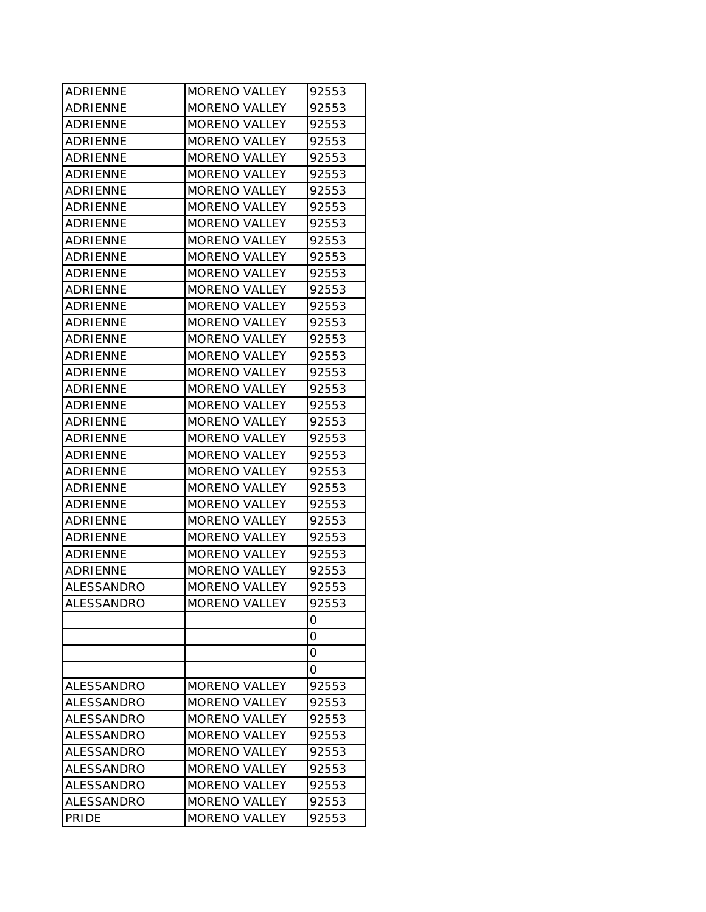| <b>ADRIENNE</b>   | <b>MORENO VALLEY</b> | 92553 |
|-------------------|----------------------|-------|
| <b>ADRIENNE</b>   | <b>MORENO VALLEY</b> | 92553 |
| <b>ADRIENNE</b>   | <b>MORENO VALLEY</b> | 92553 |
| ADRIENNE          | <b>MORENO VALLEY</b> | 92553 |
| <b>ADRIENNE</b>   | <b>MORENO VALLEY</b> | 92553 |
| IADRIENNE         | <b>MORENO VALLEY</b> | 92553 |
| ADRIENNE          | <b>MORENO VALLEY</b> | 92553 |
| ADRIENNE          | <b>MORENO VALLEY</b> | 92553 |
| <b>ADRIENNE</b>   | <b>MORENO VALLEY</b> | 92553 |
| ADRIENNE          | <b>MORENO VALLEY</b> | 92553 |
| IADRIENNE         | <b>MORENO VALLEY</b> | 92553 |
| ADRIENNE          | <b>MORENO VALLEY</b> | 92553 |
| <b>ADRIENNE</b>   | <b>MORENO VALLEY</b> | 92553 |
| ADRIENNE          | <b>MORENO VALLEY</b> | 92553 |
| ADRIENNE          | <b>MORENO VALLEY</b> | 92553 |
| IADRIENNE         | <b>MORENO VALLEY</b> | 92553 |
| ADRIENNE          | <b>MORENO VALLEY</b> | 92553 |
| <b>ADRIENNE</b>   | <b>MORENO VALLEY</b> | 92553 |
| <b>ADRIENNE</b>   | <b>MORENO VALLEY</b> | 92553 |
| ADRIENNE          | <b>MORENO VALLEY</b> | 92553 |
| IADRIENNE         | <b>MORENO VALLEY</b> | 92553 |
| ADRIENNE          | MORENO VALLEY        | 92553 |
| ADRIENNE          | <b>MORENO VALLEY</b> | 92553 |
| <b>ADRIENNE</b>   | <b>MORENO VALLEY</b> | 92553 |
| ADRIENNE          | <b>MORENO VALLEY</b> | 92553 |
| ADRIENNE          | <b>MORENO VALLEY</b> | 92553 |
| <b>ADRIENNE</b>   | <b>MORENO VALLEY</b> | 92553 |
| ADRIENNE          | <b>MORENO VALLEY</b> | 92553 |
| <b>ADRIENNE</b>   | <b>MORENO VALLEY</b> | 92553 |
| ADRIENNE          | <b>MORENO VALLEY</b> | 92553 |
| ALESSANDRO        | <b>MORENO VALLEY</b> | 92553 |
| <b>ALESSANDRO</b> | <b>MORENO VALLEY</b> | 92553 |
|                   |                      | 0     |
|                   |                      | 0     |
|                   |                      | 0     |
|                   |                      | 0     |
| ALESSANDRO        | <b>MORENO VALLEY</b> | 92553 |
| ALESSANDRO        | <b>MORENO VALLEY</b> | 92553 |
| <b>ALESSANDRO</b> | <b>MORENO VALLEY</b> | 92553 |
| ALESSANDRO        | <b>MORENO VALLEY</b> | 92553 |
| ALESSANDRO        | <b>MORENO VALLEY</b> | 92553 |
| ALESSANDRO        | <b>MORENO VALLEY</b> | 92553 |
| ALESSANDRO        | <b>MORENO VALLEY</b> | 92553 |
| ALESSANDRO        | <b>MORENO VALLEY</b> | 92553 |
| <b>PRIDE</b>      | <b>MORENO VALLEY</b> | 92553 |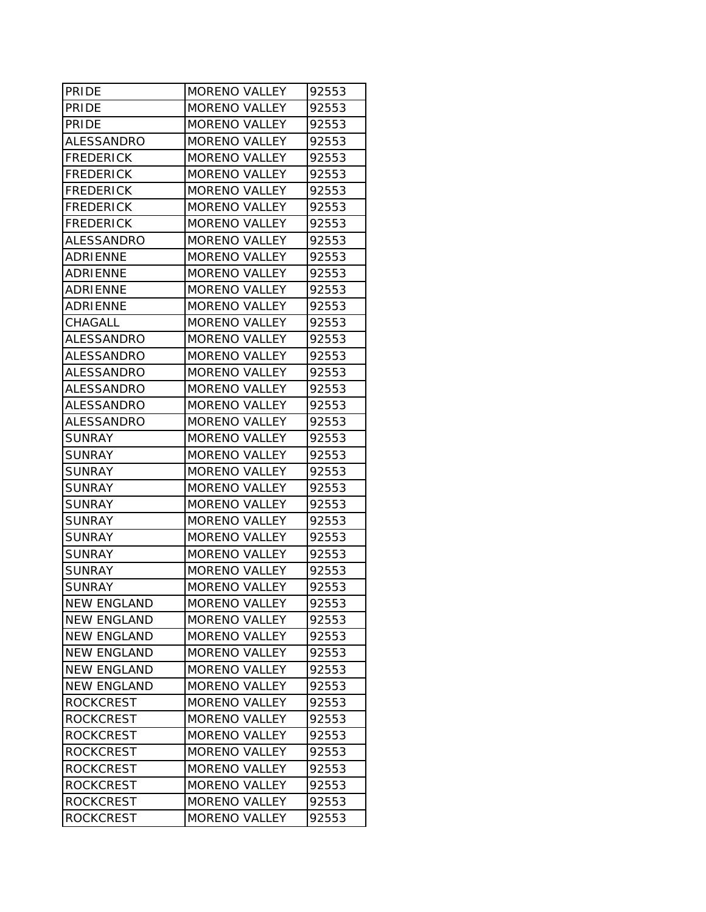| PRIDE              | MORENO VALLEY        | 92553 |
|--------------------|----------------------|-------|
| <b>PRIDE</b>       | <b>MORENO VALLEY</b> | 92553 |
| <b>PRIDE</b>       | <b>MORENO VALLEY</b> | 92553 |
| ALESSANDRO         | <b>MORENO VALLEY</b> | 92553 |
| <b>FREDERICK</b>   | <b>MORENO VALLEY</b> | 92553 |
| IFREDERICK         | <b>MORENO VALLEY</b> | 92553 |
| <b>FREDERICK</b>   | <b>MORENO VALLEY</b> | 92553 |
| <b>FREDERICK</b>   | <b>MORENO VALLEY</b> | 92553 |
| <b>FREDERICK</b>   | <b>MORENO VALLEY</b> | 92553 |
| ALESSANDRO         | <b>MORENO VALLEY</b> | 92553 |
| ADRIENNE           | <b>MORENO VALLEY</b> | 92553 |
| ADRIENNE           | <b>MORENO VALLEY</b> | 92553 |
| ADRIENNE           | <b>MORENO VALLEY</b> | 92553 |
| <b>ADRIENNE</b>    | <b>MORENO VALLEY</b> | 92553 |
| CHAGALL            | <b>MORENO VALLEY</b> | 92553 |
| <b>ALESSANDRO</b>  | <b>MORENO VALLEY</b> | 92553 |
| ALESSANDRO         | <b>MORENO VALLEY</b> | 92553 |
| ALESSANDRO         | <b>MORENO VALLEY</b> | 92553 |
| <b>ALESSANDRO</b>  | <b>MORENO VALLEY</b> | 92553 |
| ALESSANDRO         | <b>MORENO VALLEY</b> | 92553 |
| ALESSANDRO         | <b>MORENO VALLEY</b> | 92553 |
| <b>SUNRAY</b>      | <b>MORENO VALLEY</b> | 92553 |
| SUNRAY             | <b>MORENO VALLEY</b> | 92553 |
| SUNRAY             | <b>MORENO VALLEY</b> | 92553 |
| <b>SUNRAY</b>      | <b>MORENO VALLEY</b> | 92553 |
| SUNRAY             | MORENO VALLEY        | 92553 |
| <b>SUNRAY</b>      | <b>MORENO VALLEY</b> | 92553 |
| SUNRAY             | <b>MORENO VALLEY</b> | 92553 |
| <b>SUNRAY</b>      | <b>MORENO VALLEY</b> | 92553 |
| SUNRAY             | <b>MORENO VALLEY</b> | 92553 |
| <b>SUNRAY</b>      | <b>MORENO VALLEY</b> | 92553 |
| <b>NEW ENGLAND</b> | MORENO VALLEY        | 92553 |
| <b>NEW ENGLAND</b> | MORENO VALLEY        | 92553 |
| <b>NEW ENGLAND</b> | <b>MORENO VALLEY</b> | 92553 |
| <b>NEW ENGLAND</b> | <b>MORENO VALLEY</b> | 92553 |
| <b>NEW ENGLAND</b> | <b>MORENO VALLEY</b> | 92553 |
| <b>NEW ENGLAND</b> | <b>MORENO VALLEY</b> | 92553 |
| <b>ROCKCREST</b>   | <b>MORENO VALLEY</b> | 92553 |
| <b>ROCKCREST</b>   | <b>MORENO VALLEY</b> | 92553 |
| <b>ROCKCREST</b>   | <b>MORENO VALLEY</b> | 92553 |
| <b>ROCKCREST</b>   | <b>MORENO VALLEY</b> | 92553 |
| <b>ROCKCREST</b>   | <b>MORENO VALLEY</b> | 92553 |
| <b>ROCKCREST</b>   | <b>MORENO VALLEY</b> | 92553 |
| <b>ROCKCREST</b>   | <b>MORENO VALLEY</b> | 92553 |
| <b>ROCKCREST</b>   | <b>MORENO VALLEY</b> | 92553 |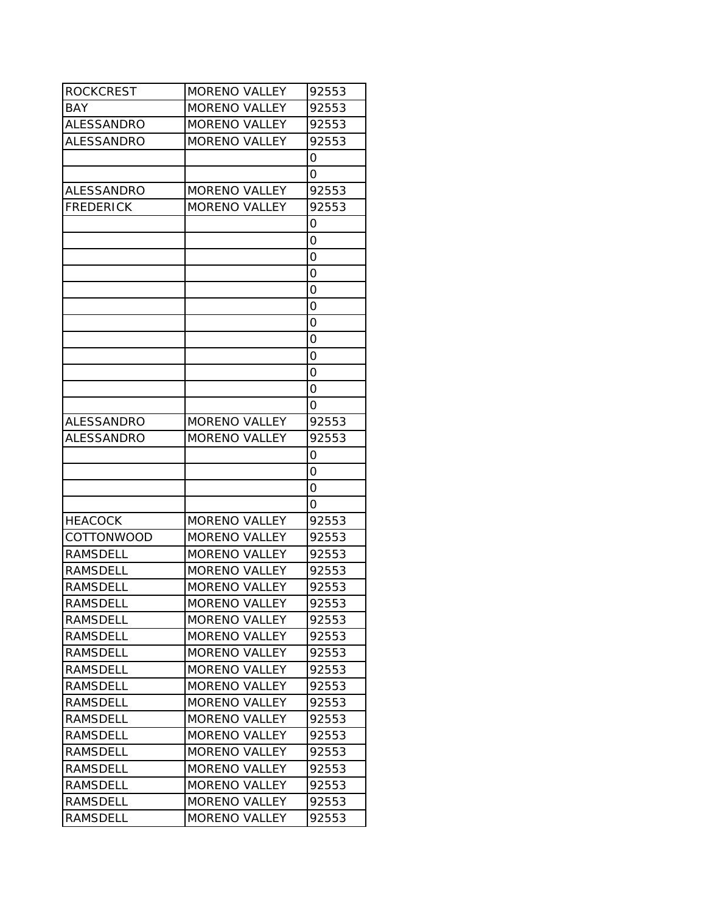| <b>ROCKCREST</b>  | <b>MORENO VALLEY</b> | 92553 |
|-------------------|----------------------|-------|
| <b>BAY</b>        | MORENO VALLEY        | 92553 |
| ALESSANDRO        | <b>MORENO VALLEY</b> | 92553 |
| <b>ALESSANDRO</b> | <b>MORENO VALLEY</b> | 92553 |
|                   |                      | 0     |
|                   |                      | Ο     |
| ALESSANDRO        | MORENO VALLEY        | 92553 |
| <b>FREDERICK</b>  | <b>MORENO VALLEY</b> | 92553 |
|                   |                      | 0     |
|                   |                      | 0     |
|                   |                      | 0     |
|                   |                      | 0     |
|                   |                      | 0     |
|                   |                      | 0     |
|                   |                      | 0     |
|                   |                      | 0     |
|                   |                      | 0     |
|                   |                      | 0     |
|                   |                      | 0     |
|                   |                      | 0     |
| ALESSANDRO        | <b>MORENO VALLEY</b> | 92553 |
| <b>ALESSANDRO</b> | <b>MORENO VALLEY</b> | 92553 |
|                   |                      | 0     |
|                   |                      | 0     |
|                   |                      | 0     |
|                   |                      | 0     |
| <b>HEACOCK</b>    | <b>MORENO VALLEY</b> | 92553 |
| <b>COTTONWOOD</b> | MORENO VALLEY        | 92553 |
| <b>RAMSDELL</b>   | <b>MORENO VALLEY</b> | 92553 |
| <b>RAMSDELL</b>   | <b>MORENO VALLEY</b> | 92553 |
| <b>RAMSDELL</b>   | <b>MORENO VALLEY</b> | 92553 |
| <b>RAMSDELL</b>   | <b>MORENO VALLEY</b> | 92553 |
| RAMSDELL          | <b>MORENO VALLEY</b> | 92553 |
| RAMSDELL          | MORENO VALLEY        | 92553 |
| <b>RAMSDELL</b>   | <b>MORENO VALLEY</b> | 92553 |
| RAMSDELL          | MORENO VALLEY        | 92553 |
| <b>RAMSDELL</b>   | <b>MORENO VALLEY</b> | 92553 |
| <b>RAMSDELL</b>   | <b>MORENO VALLEY</b> | 92553 |
| <b>RAMSDELL</b>   | <b>MORENO VALLEY</b> | 92553 |
| <b>RAMSDELL</b>   | <b>MORENO VALLEY</b> | 92553 |
| <b>RAMSDELL</b>   | <b>MORENO VALLEY</b> | 92553 |
| <b>RAMSDELL</b>   | <b>MORENO VALLEY</b> | 92553 |
| <b>RAMSDELL</b>   | MORENO VALLEY        | 92553 |
| RAMSDELL          | MORENO VALLEY        | 92553 |
| RAMSDELL          | <b>MORENO VALLEY</b> | 92553 |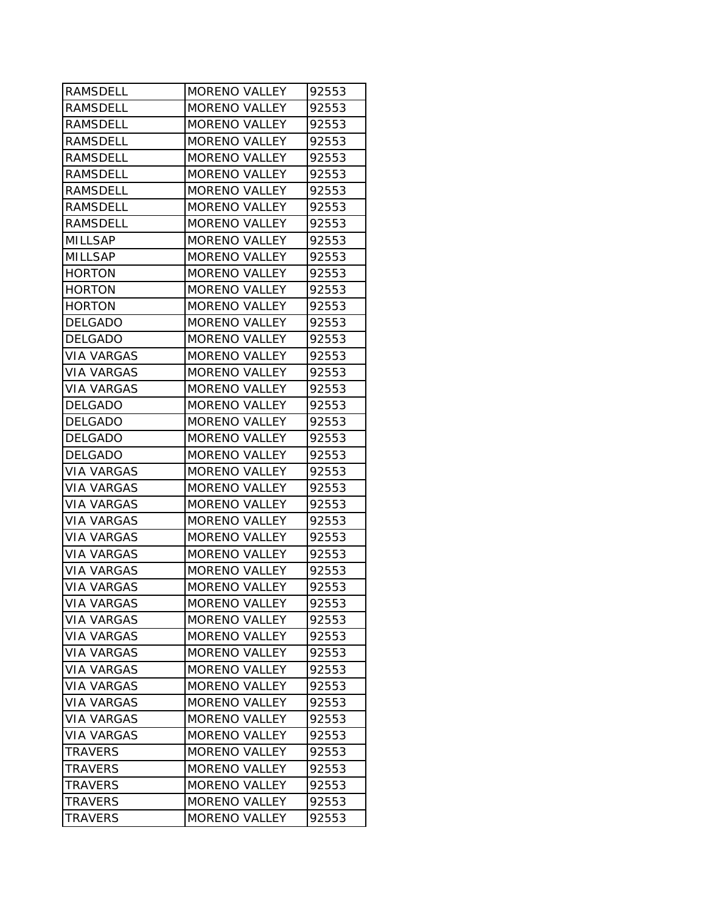| <b>RAMSDELL</b>   | <b>MORENO VALLEY</b> | 92553 |
|-------------------|----------------------|-------|
| RAMSDELL          | <b>MORENO VALLEY</b> | 92553 |
| RAMSDELL          | <b>MORENO VALLEY</b> | 92553 |
| <b>RAMSDELL</b>   | <b>MORENO VALLEY</b> | 92553 |
| <b>RAMSDELL</b>   | <b>MORENO VALLEY</b> | 92553 |
| <b>RAMSDELL</b>   | <b>MORENO VALLEY</b> | 92553 |
| <b>RAMSDELL</b>   | <b>MORENO VALLEY</b> | 92553 |
| <b>RAMSDELL</b>   | <b>MORENO VALLEY</b> | 92553 |
| <b>RAMSDELL</b>   | <b>MORENO VALLEY</b> | 92553 |
| <b>MILLSAP</b>    | <b>MORENO VALLEY</b> | 92553 |
| MILLSAP           | <b>MORENO VALLEY</b> | 92553 |
| <b>HORTON</b>     | <b>MORENO VALLEY</b> | 92553 |
| <b>HORTON</b>     | <b>MORENO VALLEY</b> | 92553 |
| <b>HORTON</b>     | <b>MORENO VALLEY</b> | 92553 |
| <b>DELGADO</b>    | <b>MORENO VALLEY</b> | 92553 |
| <b>DELGADO</b>    | <b>MORENO VALLEY</b> | 92553 |
| <b>VIA VARGAS</b> | <b>MORENO VALLEY</b> | 92553 |
| VIA VARGAS        | <b>MORENO VALLEY</b> | 92553 |
| VIA VARGAS        | <b>MORENO VALLEY</b> | 92553 |
| <b>DELGADO</b>    | <b>MORENO VALLEY</b> | 92553 |
| <b>DELGADO</b>    | <b>MORENO VALLEY</b> | 92553 |
| <b>DELGADO</b>    | <b>MORENO VALLEY</b> | 92553 |
| <b>DELGADO</b>    | <b>MORENO VALLEY</b> | 92553 |
| <b>VIA VARGAS</b> | <b>MORENO VALLEY</b> | 92553 |
| <b>VIA VARGAS</b> | <b>MORENO VALLEY</b> | 92553 |
| <b>VIA VARGAS</b> | <b>MORENO VALLEY</b> | 92553 |
| VIA VARGAS        | <b>MORENO VALLEY</b> | 92553 |
| VIA VARGAS        | MORENO VALLEY        | 92553 |
| <b>VIA VARGAS</b> | <b>MORENO VALLEY</b> | 92553 |
| <b>VIA VARGAS</b> | <b>MORENO VALLEY</b> | 92553 |
| <b>VIA VARGAS</b> | <b>MORENO VALLEY</b> | 92553 |
| <b>VIA VARGAS</b> | MORENO VALLEY        | 92553 |
| <b>VIA VARGAS</b> | <b>MORENO VALLEY</b> | 92553 |
| <b>VIA VARGAS</b> | <b>MORENO VALLEY</b> | 92553 |
| <b>VIA VARGAS</b> | <b>MORENO VALLEY</b> | 92553 |
| VIA VARGAS        | <b>MORENO VALLEY</b> | 92553 |
| <b>VIA VARGAS</b> | <b>MORENO VALLEY</b> | 92553 |
| <b>VIA VARGAS</b> | <b>MORENO VALLEY</b> | 92553 |
| <b>VIA VARGAS</b> | <b>MORENO VALLEY</b> | 92553 |
| <b>VIA VARGAS</b> | <b>MORENO VALLEY</b> | 92553 |
| <b>TRAVERS</b>    | MORENO VALLEY        | 92553 |
| <b>TRAVERS</b>    | <b>MORENO VALLEY</b> | 92553 |
| <b>TRAVERS</b>    | MORENO VALLEY        | 92553 |
| <b>TRAVERS</b>    | <b>MORENO VALLEY</b> | 92553 |
| <b>TRAVERS</b>    | <b>MORENO VALLEY</b> | 92553 |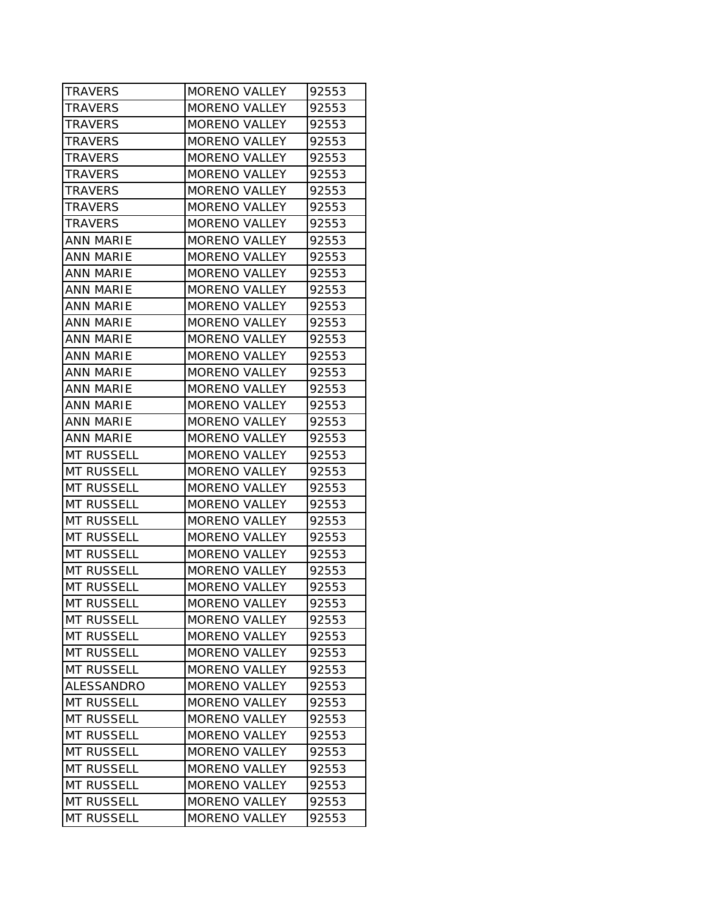| <b>TRAVERS</b>    | MORENO VALLEY        | 92553 |
|-------------------|----------------------|-------|
| <b>TRAVERS</b>    | <b>MORENO VALLEY</b> | 92553 |
| <b>TRAVERS</b>    | <b>MORENO VALLEY</b> | 92553 |
| <b>TRAVERS</b>    | <b>MORENO VALLEY</b> | 92553 |
| <b>TRAVERS</b>    | <b>MORENO VALLEY</b> | 92553 |
| <b>TRAVERS</b>    | MORENO VALLEY        | 92553 |
| <b>TRAVERS</b>    | <b>MORENO VALLEY</b> | 92553 |
| <b>TRAVERS</b>    | <b>MORENO VALLEY</b> | 92553 |
| <b>TRAVERS</b>    | <b>MORENO VALLEY</b> | 92553 |
| <b>ANN MARIE</b>  | <b>MORENO VALLEY</b> | 92553 |
| ANN MARIE         | <b>MORENO VALLEY</b> | 92553 |
| <b>ANN MARIE</b>  | <b>MORENO VALLEY</b> | 92553 |
| <b>ANN MARIE</b>  | <b>MORENO VALLEY</b> | 92553 |
| <b>ANN MARIE</b>  | <b>MORENO VALLEY</b> | 92553 |
| <b>ANN MARIE</b>  | <b>MORENO VALLEY</b> | 92553 |
| <b>ANN MARIE</b>  | <b>MORENO VALLEY</b> | 92553 |
| <b>ANN MARIE</b>  | <b>MORENO VALLEY</b> | 92553 |
| <b>ANN MARIE</b>  | <b>MORENO VALLEY</b> | 92553 |
| ANN MARIE         | <b>MORENO VALLEY</b> | 92553 |
| <b>ANN MARIE</b>  | <b>MORENO VALLEY</b> | 92553 |
| <b>ANN MARIE</b>  | <b>MORENO VALLEY</b> | 92553 |
| <b>ANN MARIE</b>  | <b>MORENO VALLEY</b> | 92553 |
| <b>MT RUSSELL</b> | <b>MORENO VALLEY</b> | 92553 |
| <b>MT RUSSELL</b> | <b>MORENO VALLEY</b> | 92553 |
| <b>MT RUSSELL</b> | MORENO VALLEY        | 92553 |
| <b>MT RUSSELL</b> | <b>MORENO VALLEY</b> | 92553 |
| <b>MT RUSSELL</b> | <b>MORENO VALLEY</b> | 92553 |
| <b>MT RUSSELL</b> | <b>MORENO VALLEY</b> | 92553 |
| <b>MT RUSSELL</b> | <b>MORENO VALLEY</b> | 92553 |
| <b>MT RUSSELL</b> | <b>MORENO VALLEY</b> | 92553 |
| <b>MT RUSSELL</b> | <b>MORENO VALLEY</b> | 92553 |
| <b>MT RUSSELL</b> | MORENO VALLEY        | 92553 |
| <b>MT RUSSELL</b> | MORENO VALLEY        | 92553 |
| <b>MT RUSSELL</b> | <b>MORENO VALLEY</b> | 92553 |
| <b>MT RUSSELL</b> | <b>MORENO VALLEY</b> | 92553 |
| <b>MT RUSSELL</b> | <b>MORENO VALLEY</b> | 92553 |
| ALESSANDRO        | <b>MORENO VALLEY</b> | 92553 |
| <b>MT RUSSELL</b> | <b>MORENO VALLEY</b> | 92553 |
| <b>MT RUSSELL</b> | <b>MORENO VALLEY</b> | 92553 |
| <b>MT RUSSELL</b> | <b>MORENO VALLEY</b> | 92553 |
| <b>MT RUSSELL</b> | <b>MORENO VALLEY</b> | 92553 |
| <b>MT RUSSELL</b> | <b>MORENO VALLEY</b> | 92553 |
| <b>MT RUSSELL</b> | <b>MORENO VALLEY</b> | 92553 |
| <b>MT RUSSELL</b> | <b>MORENO VALLEY</b> | 92553 |
| <b>MT RUSSELL</b> | <b>MORENO VALLEY</b> | 92553 |